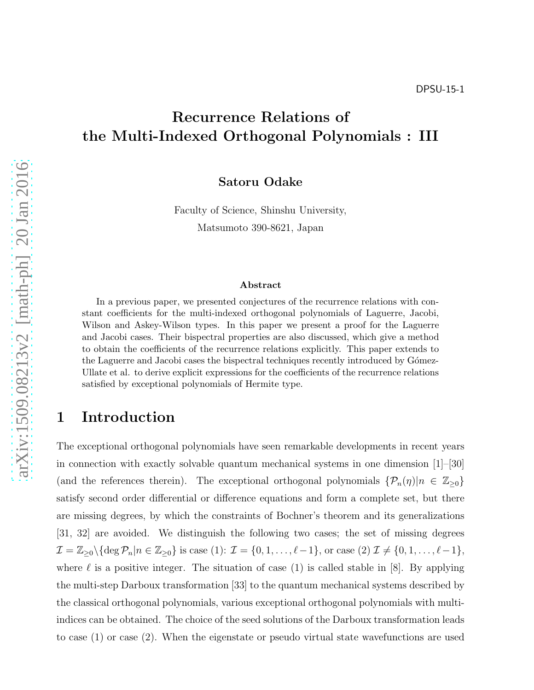# Recurrence Relations of the Multi-Indexed Orthogonal Polynomials : III

Satoru Odake

Faculty of Science, Shinshu University, Matsumoto 390-8621, Japan

#### Abstract

In a previous paper, we presented conjectures of the recurrence relations with constant coefficients for the multi-indexed orthogonal polynomials of Laguerre, Jacobi, Wilson and Askey-Wilson types. In this paper we present a proof for the Laguerre and Jacobi cases. Their bispectral properties are also discussed, which give a method to obtain the coefficients of the recurrence relations explicitly. This paper extends to the Laguerre and Jacobi cases the bispectral techniques recently introduced by Gómez-Ullate et al. to derive explicit expressions for the coefficients of the recurrence relations satisfied by exceptional polynomials of Hermite type.

## 1 Introduction

The exceptional orthogonal polynomials have seen remarkable developments in recent years in connection with exactly solvable quantum mechanical systems in one dimension [1]–[30] (and the references therein). The exceptional orthogonal polynomials  $\{\mathcal{P}_n(\eta)|n \in \mathbb{Z}_{\geq 0}\}\$ satisfy second order differential or difference equations and form a complete set, but there are missing degrees, by which the constraints of Bochner's theorem and its generalizations [31, 32] are avoided. We distinguish the following two cases; the set of missing degrees  $\mathcal{I} = \mathbb{Z}_{\geq 0} \setminus \{ \deg \mathcal{P}_n | n \in \mathbb{Z}_{\geq 0} \}$  is case (1):  $\mathcal{I} = \{0, 1, \ldots, \ell - 1\}$ , or case (2)  $\mathcal{I} \neq \{0, 1, \ldots, \ell - 1\}$ , where  $\ell$  is a positive integer. The situation of case (1) is called stable in [8]. By applying the multi-step Darboux transformation [33] to the quantum mechanical systems described by the classical orthogonal polynomials, various exceptional orthogonal polynomials with multiindices can be obtained. The choice of the seed solutions of the Darboux transformation leads to case (1) or case (2). When the eigenstate or pseudo virtual state wavefunctions are used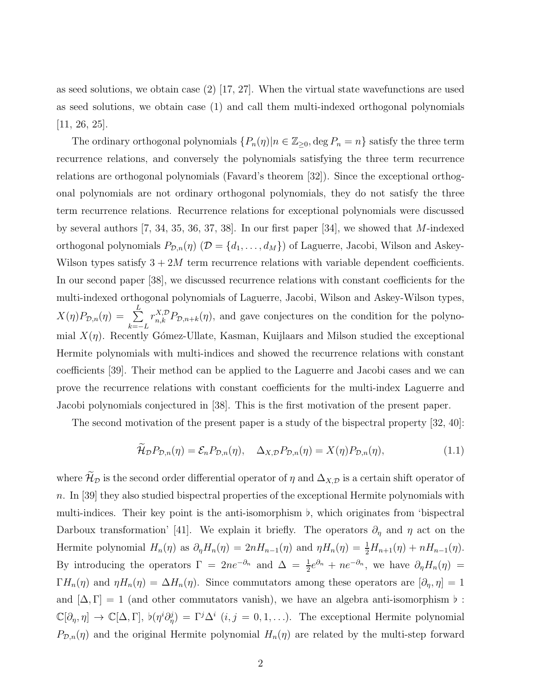as seed solutions, we obtain case (2) [17, 27]. When the virtual state wavefunctions are used as seed solutions, we obtain case (1) and call them multi-indexed orthogonal polynomials [11, 26, 25].

The ordinary orthogonal polynomials  $\{P_n(\eta) | n \in \mathbb{Z}_{\geq 0}, \deg P_n = n\}$  satisfy the three term recurrence relations, and conversely the polynomials satisfying the three term recurrence relations are orthogonal polynomials (Favard's theorem [32]). Since the exceptional orthogonal polynomials are not ordinary orthogonal polynomials, they do not satisfy the three term recurrence relations. Recurrence relations for exceptional polynomials were discussed by several authors [7, 34, 35, 36, 37, 38]. In our first paper [34], we showed that M-indexed orthogonal polynomials  $P_{\mathcal{D},n}(\eta)$  ( $\mathcal{D} = \{d_1, \ldots, d_M\}$ ) of Laguerre, Jacobi, Wilson and Askey-Wilson types satisfy  $3+2M$  term recurrence relations with variable dependent coefficients. In our second paper [38], we discussed recurrence relations with constant coefficients for the multi-indexed orthogonal polynomials of Laguerre, Jacobi, Wilson and Askey-Wilson types,  $X(\eta)P_{\mathcal{D},n}(\eta) = \sum^L$  $k=-L$  $r_{n,k}^{X,D}P_{\mathcal{D},n+k}(\eta)$ , and gave conjectures on the condition for the polynomial  $X(\eta)$ . Recently Gómez-Ullate, Kasman, Kuijlaars and Milson studied the exceptional Hermite polynomials with multi-indices and showed the recurrence relations with constant coefficients [39]. Their method can be applied to the Laguerre and Jacobi cases and we can prove the recurrence relations with constant coefficients for the multi-index Laguerre and Jacobi polynomials conjectured in [38]. This is the first motivation of the present paper.

The second motivation of the present paper is a study of the bispectral property [32, 40]:

$$
\widetilde{\mathcal{H}}_{\mathcal{D}}P_{\mathcal{D},n}(\eta) = \mathcal{E}_n P_{\mathcal{D},n}(\eta), \quad \Delta_{X,\mathcal{D}}P_{\mathcal{D},n}(\eta) = X(\eta)P_{\mathcal{D},n}(\eta), \tag{1.1}
$$

where  $\widetilde{\mathcal{H}}_{\mathcal{D}}$  is the second order differential operator of  $\eta$  and  $\Delta_{X,\mathcal{D}}$  is a certain shift operator of n. In [39] they also studied bispectral properties of the exceptional Hermite polynomials with multi-indices. Their key point is the anti-isomorphism ♭, which originates from 'bispectral Darboux transformation' [41]. We explain it briefly. The operators  $\partial_{\eta}$  and  $\eta$  act on the Hermite polynomial  $H_n(\eta)$  as  $\partial_\eta H_n(\eta) = 2nH_{n-1}(\eta)$  and  $\eta H_n(\eta) = \frac{1}{2}H_{n+1}(\eta) + nH_{n-1}(\eta)$ . By introducing the operators  $\Gamma = 2ne^{-\partial_n}$  and  $\Delta = \frac{1}{2}e^{\partial_n} + ne^{-\partial_n}$ , we have  $\partial_{\eta}H_n(\eta) =$  $\Gamma H_n(\eta)$  and  $\eta H_n(\eta) = \Delta H_n(\eta)$ . Since commutators among these operators are  $[\partial_\eta, \eta] = 1$ and  $[\Delta, \Gamma] = 1$  (and other commutators vanish), we have an algebra anti-isomorphism  $\nu$ :  $\mathbb{C}[\partial_\eta,\eta] \to \mathbb{C}[\Delta,\Gamma], \ \mathfrak{b}(\eta^i \partial_\eta^j) = \Gamma^j \Delta^i \ (i,j=0,1,\ldots).$  The exceptional Hermite polynomial  $P_{\mathcal{D},n}(\eta)$  and the original Hermite polynomial  $H_n(\eta)$  are related by the multi-step forward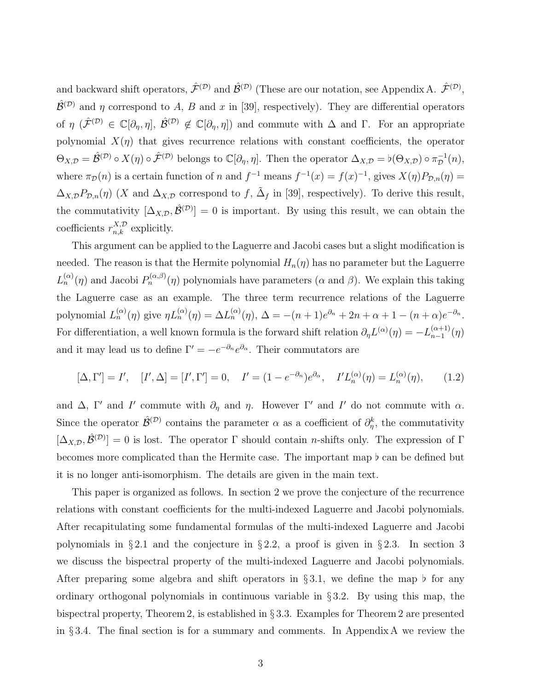and backward shift operators,  $\hat{\mathcal{F}}^{(\mathcal{D})}$  and  $\hat{\mathcal{B}}^{(\mathcal{D})}$  (These are our notation, see Appendix A.  $\hat{\mathcal{F}}^{(\mathcal{D})}$ ,  $\hat{\mathcal{B}}^{(\mathcal{D})}$  and  $\eta$  correspond to A, B and x in [39], respectively). They are differential operators of  $\eta$  ( $\hat{\mathcal{F}}^{(\mathcal{D})} \in \mathbb{C}[\partial_{\eta}, \eta], \hat{\mathcal{B}}^{(\mathcal{D})} \notin \mathbb{C}[\partial_{\eta}, \eta]$ ) and commute with  $\Delta$  and  $\Gamma$ . For an appropriate polynomial  $X(\eta)$  that gives recurrence relations with constant coefficients, the operator  $\Theta_{X,\mathcal{D}} = \hat{\mathcal{B}}^{(\mathcal{D})} \circ X(\eta) \circ \hat{\mathcal{F}}^{(\mathcal{D})}$  belongs to  $\mathbb{C}[\partial_{\eta}, \eta]$ . Then the operator  $\Delta_{X,\mathcal{D}} = \flat(\Theta_{X,\mathcal{D}}) \circ \pi_{\mathcal{D}}^{-1}(n)$ , where  $\pi_{\mathcal{D}}(n)$  is a certain function of n and  $f^{-1}$  means  $f^{-1}(x) = f(x)^{-1}$ , gives  $X(\eta)P_{\mathcal{D},n}(\eta) =$  $\Delta_{X,\mathcal{D}} P_{\mathcal{D},n}(\eta)$  (X and  $\Delta_{X,\mathcal{D}}$  correspond to f,  $\tilde{\Delta}_f$  in [39], respectively). To derive this result, the commutativity  $[\Delta_{X,D}, \hat{\mathcal{B}}^{(D)}] = 0$  is important. By using this result, we can obtain the coefficients  $r_{n,k}^{X,\mathcal{D}}$  explicitly.

This argument can be applied to the Laguerre and Jacobi cases but a slight modification is needed. The reason is that the Hermite polynomial  $H_n(\eta)$  has no parameter but the Laguerre  $L_n^{(\alpha)}(\eta)$  and Jacobi  $P_n^{(\alpha,\beta)}(\eta)$  polynomials have parameters ( $\alpha$  and  $\beta$ ). We explain this taking the Laguerre case as an example. The three term recurrence relations of the Laguerre polynomial  $L_n^{(\alpha)}(\eta)$  give  $\eta L_n^{(\alpha)}(\eta) = \Delta L_n^{(\alpha)}(\eta)$ ,  $\Delta = -(n+1)e^{\partial_n} + 2n + \alpha + 1 - (n+\alpha)e^{-\partial_n}$ . For differentiation, a well known formula is the forward shift relation  $\partial_{\eta}L^{(\alpha)}(\eta) = -L_{n-1}^{(\alpha+1)}$  $\binom{\alpha+1}{n-1}(\eta)$ and it may lead us to define  $\Gamma' = -e^{-\partial_n} e^{\partial_\alpha}$ . Their commutators are

$$
[\Delta, \Gamma'] = I', \quad [I', \Delta] = [I', \Gamma'] = 0, \quad I' = (1 - e^{-\partial_n})e^{\partial_\alpha}, \quad I'L_n^{(\alpha)}(\eta) = L_n^{(\alpha)}(\eta), \tag{1.2}
$$

and  $\Delta$ , Γ' and I' commute with  $\partial_{\eta}$  and  $\eta$ . However Γ' and I' do not commute with  $\alpha$ . Since the operator  $\hat{\mathcal{B}}^{(\mathcal{D})}$  contains the parameter  $\alpha$  as a coefficient of  $\partial_{\eta}^{k}$ , the commutativity  $[\Delta_{X,D}, \hat{\mathcal{B}}^{(D)}] = 0$  is lost. The operator  $\Gamma$  should contain *n*-shifts only. The expression of  $\Gamma$ becomes more complicated than the Hermite case. The important map ♭ can be defined but it is no longer anti-isomorphism. The details are given in the main text.

This paper is organized as follows. In section 2 we prove the conjecture of the recurrence relations with constant coefficients for the multi-indexed Laguerre and Jacobi polynomials. After recapitulating some fundamental formulas of the multi-indexed Laguerre and Jacobi polynomials in §2.1 and the conjecture in §2.2, a proof is given in §2.3. In section 3 we discuss the bispectral property of the multi-indexed Laguerre and Jacobi polynomials. After preparing some algebra and shift operators in §3.1, we define the map  $\flat$  for any ordinary orthogonal polynomials in continuous variable in  $\S 3.2$ . By using this map, the bispectral property, Theorem 2, is established in § 3.3. Examples for Theorem 2 are presented in § 3.4. The final section is for a summary and comments. In Appendix A we review the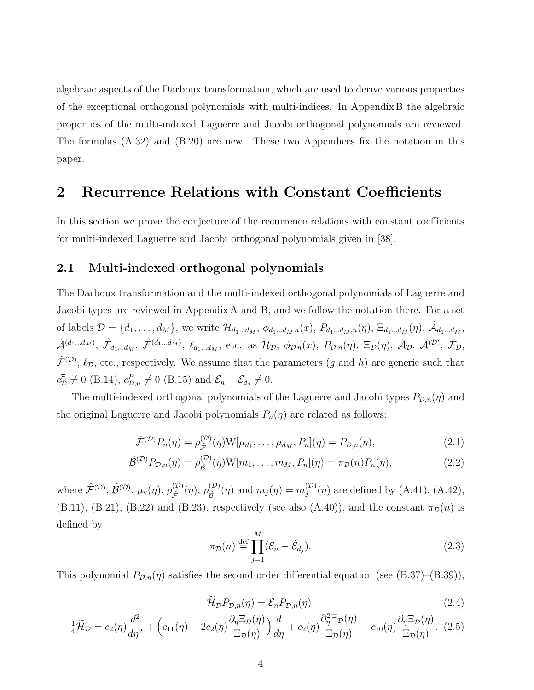algebraic aspects of the Darboux transformation, which are used to derive various properties of the exceptional orthogonal polynomials with multi-indices. In Appendix B the algebraic properties of the multi-indexed Laguerre and Jacobi orthogonal polynomials are reviewed. The formulas (A.32) and (B.20) are new. These two Appendices fix the notation in this paper.

## 2 Recurrence Relations with Constant Coefficients

In this section we prove the conjecture of the recurrence relations with constant coefficients for multi-indexed Laguerre and Jacobi orthogonal polynomials given in [38].

### 2.1 Multi-indexed orthogonal polynomials

The Darboux transformation and the multi-indexed orthogonal polynomials of Laguerre and Jacobi types are reviewed in Appendix A and B, and we follow the notation there. For a set of labels  $\mathcal{D} = \{d_1, \ldots, d_M\}$ , we write  $\mathcal{H}_{d_1...d_M}$ ,  $\phi_{d_1...d_M n}(x)$ ,  $P_{d_1...d_M, n}(\eta)$ ,  $\Xi_{d_1...d_M}(\eta)$ ,  $\hat{\mathcal{A}}_{d_1...d_M}$ ,  $\hat{\mathcal{A}}^{(d_1...d_M)}, \ \hat{\mathcal{F}}_{d_1...d_M}, \ \hat{\mathcal{F}}^{(d_1...d_M)}, \ \ell_{d_1...d_M}, \text{ etc. as } \mathcal{H}_{\mathcal{D}}, \ \phi_{\mathcal{D}n}(x), \ P_{\mathcal{D},n}(\eta), \ \Xi_{\mathcal{D}}(\eta), \ \hat{\mathcal{A}}_{\mathcal{D}}, \ \hat{\mathcal{A}}^{(\mathcal{D})}, \ \hat{\mathcal{F}}_{\mathcal{D}},$  $\hat{\mathcal{F}}^{(\mathcal{D})}$ ,  $\ell_{\mathcal{D}}$ , etc., respectively. We assume that the parameters  $(g$  and  $h)$  are generic such that  $c_{\mathcal{D}}^{\Xi} \neq 0$  (B.14),  $c_{\mathcal{D},n}^{P} \neq 0$  (B.15) and  $\mathcal{E}_{n} - \tilde{\mathcal{E}}_{d_j} \neq 0$ .

The multi-indexed orthogonal polynomials of the Laguerre and Jacobi types  $P_{\mathcal{D},n}(\eta)$  and the original Laguerre and Jacobi polynomials  $P_n(\eta)$  are related as follows:

$$
\hat{\mathcal{F}}^{(\mathcal{D})}P_n(\eta) = \rho_{\hat{\mathcal{F}}}^{(\mathcal{D})}(\eta) \mathcal{W}[\mu_{d_1}, \dots, \mu_{d_M}, P_n](\eta) = P_{\mathcal{D},n}(\eta),\tag{2.1}
$$

$$
\hat{\mathcal{B}}^{(\mathcal{D})} P_{\mathcal{D},n}(\eta) = \rho_{\hat{\mathcal{B}}}^{(\mathcal{D})}(\eta) W[m_1, \dots, m_M, P_n](\eta) = \pi_{\mathcal{D}}(n) P_n(\eta), \tag{2.2}
$$

where  $\hat{\mathcal{F}}^{(\mathcal{D})}, \hat{\mathcal{B}}^{(\mathcal{D})}, \mu_{\rm v}(\eta), \rho_{\hat{\tau}}^{(\mathcal{D})}$  $\stackrel{(\mathcal{D})}{\hat{\mathcal{F}}}(\eta),\, \rho_{\hat{\mathcal{B}}}^{(\mathcal{D})}$  $\binom{D}{\hat{\mathcal{B}}}(\eta)$  and  $m_j(\eta) = m_j^{(\mathcal{D})}$  $j^{(D)}(\eta)$  are defined by (A.41), (A.42), (B.11), (B.21), (B.22) and (B.23), respectively (see also (A.40)), and the constant  $\pi_{\mathcal{D}}(n)$  is defined by

$$
\pi_{\mathcal{D}}(n) \stackrel{\text{def}}{=} \prod_{j=1}^{M} (\mathcal{E}_n - \tilde{\mathcal{E}}_{d_j}).
$$
\n(2.3)

This polynomial  $P_{\mathcal{D},n}(\eta)$  satisfies the second order differential equation (see (B.37)–(B.39)),

$$
\widetilde{\mathcal{H}}_{\mathcal{D}} P_{\mathcal{D},n}(\eta) = \mathcal{E}_n P_{\mathcal{D},n}(\eta),\tag{2.4}
$$

$$
-\frac{1}{4}\widetilde{\mathcal{H}}_{\mathcal{D}} = c_2(\eta)\frac{d^2}{d\eta^2} + \left(c_{11}(\eta) - 2c_2(\eta)\frac{\partial_{\eta}\Xi_{\mathcal{D}}(\eta)}{\Xi_{\mathcal{D}}(\eta)}\right)\frac{d}{d\eta} + c_2(\eta)\frac{\partial_{\eta}^2\Xi_{\mathcal{D}}(\eta)}{\Xi_{\mathcal{D}}(\eta)} - c_{10}(\eta)\frac{\partial_{\eta}\Xi_{\mathcal{D}}(\eta)}{\Xi_{\mathcal{D}}(\eta)}.
$$
(2.5)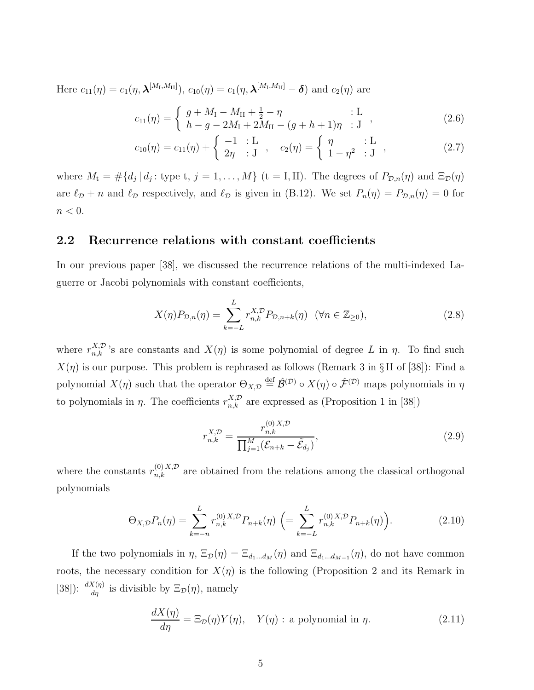Here  $c_{11}(\eta) = c_1(\eta, \boldsymbol{\lambda}^{[M_{\rm I}, M_{\rm II}]})$ ,  $c_{10}(\eta) = c_1(\eta, \boldsymbol{\lambda}^{[M_{\rm I}, M_{\rm II}]} - \boldsymbol{\delta})$  and  $c_2(\eta)$  are

$$
c_{11}(\eta) = \begin{cases} g + M_{\rm I} - M_{\rm II} + \frac{1}{2} - \eta & \text{: L} \\ h - g - 2M_{\rm I} + 2M_{\rm II} - (g + h + 1)\eta & \text{: J} \end{cases} , \tag{2.6}
$$

$$
c_{10}(\eta) = c_{11}(\eta) + \begin{cases} -1 & \text{: } L \\ 2\eta & \text{: } J \end{cases}, \quad c_2(\eta) = \begin{cases} \eta & \text{: } L \\ 1 - \eta^2 & \text{: } J \end{cases}, \tag{2.7}
$$

where  $M_t = \#\{d_j | d_j :$  type  $t, j = 1, ..., M\}$  ( $t = I, II$ ). The degrees of  $P_{\mathcal{D},n}(\eta)$  and  $\Xi_{\mathcal{D}}(\eta)$ are  $\ell_{\mathcal{D}} + n$  and  $\ell_{\mathcal{D}}$  respectively, and  $\ell_{\mathcal{D}}$  is given in (B.12). We set  $P_n(\eta) = P_{\mathcal{D},n}(\eta) = 0$  for  $n < 0$ .

#### 2.2 Recurrence relations with constant coefficients

In our previous paper [38], we discussed the recurrence relations of the multi-indexed Laguerre or Jacobi polynomials with constant coefficients,

$$
X(\eta)P_{\mathcal{D},n}(\eta) = \sum_{k=-L}^{L} r_{n,k}^{X,\mathcal{D}} P_{\mathcal{D},n+k}(\eta) \quad (\forall n \in \mathbb{Z}_{\geq 0}),\tag{2.8}
$$

where  $r_{n,k}^{X,D}$ 's are constants and  $X(\eta)$  is some polynomial of degree L in  $\eta$ . To find such  $X(\eta)$  is our purpose. This problem is rephrased as follows (Remark 3 in § II of [38]): Find a polynomial  $X(\eta)$  such that the operator  $\Theta_{X,\mathcal{D}} \stackrel{\text{def}}{=} \hat{\mathcal{B}}^{(\mathcal{D})} \circ X(\eta) \circ \hat{\mathcal{F}}^{(\mathcal{D})}$  maps polynomials in  $\eta$ to polynomials in  $\eta$ . The coefficients  $r_{n,k}^{X,\mathcal{D}}$  are expressed as (Proposition 1 in [38])

$$
r_{n,k}^{X,\mathcal{D}} = \frac{r_{n,k}^{(0) X,\mathcal{D}}}{\prod_{j=1}^{M} (\mathcal{E}_{n+k} - \tilde{\mathcal{E}}_{d_j})},
$$
\n(2.9)

where the constants  $r_{n,k}^{(0)}$  are obtained from the relations among the classical orthogonal polynomials

$$
\Theta_{X,\mathcal{D}} P_n(\eta) = \sum_{k=-n}^{L} r_{n,k}^{(0) \, X,\mathcal{D}} P_{n+k}(\eta) \, \left( = \sum_{k=-L}^{L} r_{n,k}^{(0) \, X,\mathcal{D}} P_{n+k}(\eta) \right). \tag{2.10}
$$

If the two polynomials in  $\eta$ ,  $\Xi_{\mathcal{D}}(\eta) = \Xi_{d_1...d_M}(\eta)$  and  $\Xi_{d_1...d_{M-1}}(\eta)$ , do not have common roots, the necessary condition for  $X(\eta)$  is the following (Proposition 2 and its Remark in [38]):  $\frac{dX(\eta)}{d\eta}$  is divisible by  $\Xi_{\mathcal{D}}(\eta)$ , namely

$$
\frac{dX(\eta)}{d\eta} = \Xi_{\mathcal{D}}(\eta)Y(\eta), \quad Y(\eta) : \text{ a polynomial in } \eta.
$$
 (2.11)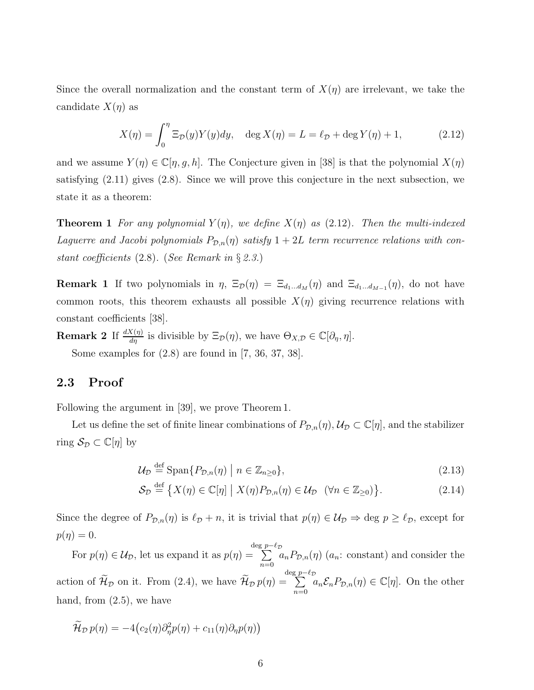Since the overall normalization and the constant term of  $X(\eta)$  are irrelevant, we take the candidate  $X(\eta)$  as

$$
X(\eta) = \int_0^{\eta} \Xi_{\mathcal{D}}(y) Y(y) dy, \quad \deg X(\eta) = L = \ell_{\mathcal{D}} + \deg Y(\eta) + 1,
$$
 (2.12)

and we assume  $Y(\eta) \in \mathbb{C}[\eta, g, h]$ . The Conjecture given in [38] is that the polynomial  $X(\eta)$ satisfying (2.11) gives (2.8). Since we will prove this conjecture in the next subsection, we state it as a theorem:

**Theorem 1** For any polynomial  $Y(\eta)$ , we define  $X(\eta)$  as (2.12). Then the multi-indexed Laguerre and Jacobi polynomials  $P_{\mathcal{D},n}(\eta)$  satisfy  $1+2L$  term recurrence relations with constant coefficients (2.8). (See Remark in § 2.3.)

**Remark 1** If two polynomials in  $\eta$ ,  $\Xi_{\mathcal{D}}(\eta) = \Xi_{d_1...d_M}(\eta)$  and  $\Xi_{d_1...d_{M-1}}(\eta)$ , do not have common roots, this theorem exhausts all possible  $X(\eta)$  giving recurrence relations with constant coefficients [38].

**Remark 2** If  $\frac{dX(\eta)}{d\eta}$  is divisible by  $\Xi_{\mathcal{D}}(\eta)$ , we have  $\Theta_{X,\mathcal{D}} \in \mathbb{C}[\partial_{\eta}, \eta]$ . Some examples for  $(2.8)$  are found in [7, 36, 37, 38].

### 2.3 Proof

Following the argument in [39], we prove Theorem 1.

Let us define the set of finite linear combinations of  $P_{\mathcal{D},n}(\eta)$ ,  $\mathcal{U}_{\mathcal{D}} \subset \mathbb{C}[\eta]$ , and the stabilizer ring  $S_{\mathcal{D}} \subset \mathbb{C}[\eta]$  by

$$
\mathcal{U}_{\mathcal{D}} \stackrel{\text{def}}{=} \text{Span}\{P_{\mathcal{D},n}(\eta) \mid n \in \mathbb{Z}_{n \ge 0}\},\tag{2.13}
$$

$$
\mathcal{S}_{\mathcal{D}} \stackrel{\text{def}}{=} \{ X(\eta) \in \mathbb{C}[\eta] \mid X(\eta) P_{\mathcal{D},n}(\eta) \in \mathcal{U}_{\mathcal{D}} \quad (\forall n \in \mathbb{Z}_{\geq 0}) \}.
$$
 (2.14)

Since the degree of  $P_{\mathcal{D},n}(\eta)$  is  $\ell_{\mathcal{D}}+n$ , it is trivial that  $p(\eta) \in \mathcal{U}_{\mathcal{D}} \Rightarrow$  deg  $p \geq \ell_{\mathcal{D}}$ , except for  $p(\eta)=0.$ 

For  $p(\eta) \in \mathcal{U}_{\mathcal{D}}$ , let us expand it as  $p(\eta) =$  $\deg p-\ell_{\mathcal{D}}$ <br>=  $\sum_{\ell}$  $n=0$  $a_n P_{\mathcal{D},n}(\eta)$  ( $a_n$ : constant) and consider the action of  $\mathcal{H}_{\mathcal{D}}$  on it. From (2.4), we have  $\mathcal{H}_{\mathcal{D}} p(\eta) =$  $\deg p-\ell_{\mathcal{D}}$ <br>=  $\sum_{\ell}$  $n=0$  $a_n\mathcal{E}_n P_{\mathcal{D},n}(\eta) \in \mathbb{C}[\eta]$ . On the other hand, from  $(2.5)$ , we have

$$
\widetilde{\mathcal{H}}_{\mathcal{D}} p(\eta) = -4 \big( c_2(\eta) \partial_{\eta}^2 p(\eta) + c_{11}(\eta) \partial_{\eta} p(\eta) \big)
$$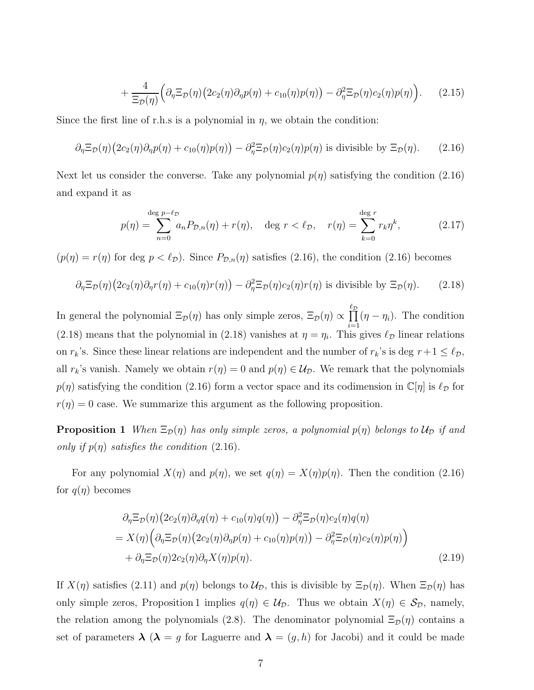$$
+\frac{4}{\Xi_{\mathcal{D}}(\eta)}\Big(\partial_{\eta}\Xi_{\mathcal{D}}(\eta)\big(2c_2(\eta)\partial_{\eta}p(\eta)+c_{10}(\eta)p(\eta)\big)-\partial_{\eta}^2\Xi_{\mathcal{D}}(\eta)c_2(\eta)p(\eta)\Big). \qquad(2.15)
$$

Since the first line of r.h.s is a polynomial in  $\eta$ , we obtain the condition:

$$
\partial_{\eta} \Xi_{\mathcal{D}}(\eta) (2c_2(\eta) \partial_{\eta} p(\eta) + c_{10}(\eta) p(\eta)) - \partial_{\eta}^2 \Xi_{\mathcal{D}}(\eta) c_2(\eta) p(\eta) \text{ is divisible by } \Xi_{\mathcal{D}}(\eta). \tag{2.16}
$$

Next let us consider the converse. Take any polynomial  $p(\eta)$  satisfying the condition (2.16) and expand it as

$$
p(\eta) = \sum_{n=0}^{\deg p - \ell_{\mathcal{D}}} a_n P_{\mathcal{D},n}(\eta) + r(\eta), \quad \deg r < \ell_{\mathcal{D}}, \quad r(\eta) = \sum_{k=0}^{\deg r} r_k \eta^k,\tag{2.17}
$$

 $(p(\eta) = r(\eta)$  for deg  $p < l_{\mathcal{D}}$ . Since  $P_{\mathcal{D},n}(\eta)$  satisfies (2.16), the condition (2.16) becomes

$$
\partial_{\eta} \Xi_{\mathcal{D}}(\eta) (2c_2(\eta) \partial_{\eta} r(\eta) + c_{10}(\eta) r(\eta)) - \partial_{\eta}^2 \Xi_{\mathcal{D}}(\eta) c_2(\eta) r(\eta) \text{ is divisible by } \Xi_{\mathcal{D}}(\eta). \tag{2.18}
$$

In general the polynomial  $\Xi_{\mathcal{D}}(\eta)$  has only simple zeros,  $\Xi_{\mathcal{D}}(\eta) \propto \prod^{\ell_{\mathcal{D}}}$  $i=1$  $(\eta - \eta_i)$ . The condition (2.18) means that the polynomial in (2.18) vanishes at  $\eta = \eta_i$ . This gives  $\ell_{\mathcal{D}}$  linear relations on  $r_k$ 's. Since these linear relations are independent and the number of  $r_k$ 's is deg  $r+1 \leq \ell_{\mathcal{D}}$ , all  $r_k$ 's vanish. Namely we obtain  $r(\eta) = 0$  and  $p(\eta) \in \mathcal{U}_{\mathcal{D}}$ . We remark that the polynomials  $p(\eta)$  satisfying the condition (2.16) form a vector space and its codimension in  $\mathbb{C}[\eta]$  is  $\ell_{\mathcal{D}}$  for  $r(\eta) = 0$  case. We summarize this argument as the following proposition.

**Proposition 1** When  $\Xi_{\mathcal{D}}(\eta)$  has only simple zeros, a polynomial  $p(\eta)$  belongs to  $\mathcal{U}_{\mathcal{D}}$  if and only if  $p(\eta)$  satisfies the condition (2.16).

For any polynomial  $X(\eta)$  and  $p(\eta)$ , we set  $q(\eta) = X(\eta)p(\eta)$ . Then the condition (2.16) for  $q(\eta)$  becomes

$$
\partial_{\eta} \Xi_{\mathcal{D}}(\eta) (2c_2(\eta) \partial_{\eta} q(\eta) + c_{10}(\eta) q(\eta)) - \partial_{\eta}^2 \Xi_{\mathcal{D}}(\eta) c_2(\eta) q(\eta)
$$
  
=  $X(\eta) (\partial_{\eta} \Xi_{\mathcal{D}}(\eta) (2c_2(\eta) \partial_{\eta} p(\eta) + c_{10}(\eta) p(\eta)) - \partial_{\eta}^2 \Xi_{\mathcal{D}}(\eta) c_2(\eta) p(\eta))$   
+  $\partial_{\eta} \Xi_{\mathcal{D}}(\eta) 2c_2(\eta) \partial_{\eta} X(\eta) p(\eta).$  (2.19)

If  $X(\eta)$  satisfies (2.11) and  $p(\eta)$  belongs to  $\mathcal{U}_{\mathcal{D}}$ , this is divisible by  $\Xi_{\mathcal{D}}(\eta)$ . When  $\Xi_{\mathcal{D}}(\eta)$  has only simple zeros, Proposition 1 implies  $q(\eta) \in \mathcal{U}_{\mathcal{D}}$ . Thus we obtain  $X(\eta) \in \mathcal{S}_{\mathcal{D}}$ , namely, the relation among the polynomials (2.8). The denominator polynomial  $\Xi_{\mathcal{D}}(\eta)$  contains a set of parameters  $\lambda (\lambda = g$  for Laguerre and  $\lambda = (g, h)$  for Jacobi) and it could be made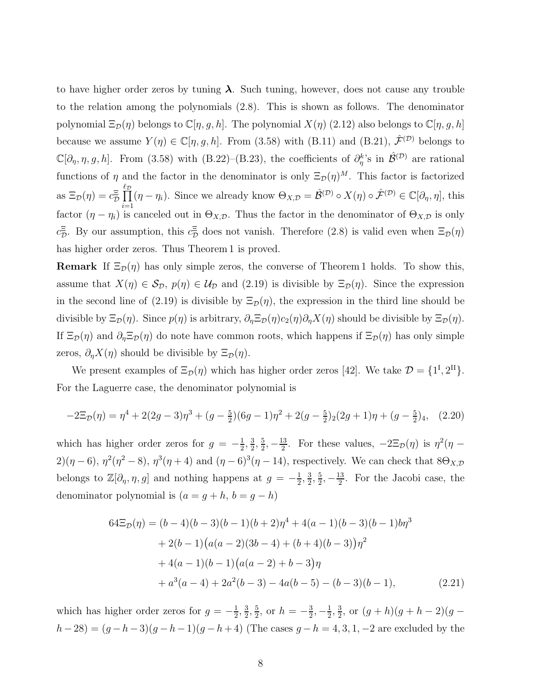to have higher order zeros by tuning  $\lambda$ . Such tuning, however, does not cause any trouble to the relation among the polynomials (2.8). This is shown as follows. The denominator polynomial  $\Xi_{\mathcal{D}}(\eta)$  belongs to  $\mathbb{C}[\eta, g, h]$ . The polynomial  $X(\eta)$  (2.12) also belongs to  $\mathbb{C}[\eta, g, h]$ because we assume  $Y(\eta) \in \mathbb{C}[\eta, g, h]$ . From (3.58) with (B.11) and (B.21),  $\hat{\mathcal{F}}^{(\mathcal{D})}$  belongs to  $\mathbb{C}[\partial_\eta, \eta, g, h]$ . From (3.58) with (B.22)–(B.23), the coefficients of  $\partial_\eta^{k}$ 's in  $\hat{\mathcal{B}}^{(\mathcal{D})}$  are rational functions of  $\eta$  and the factor in the denominator is only  $\Xi_{\mathcal{D}}(\eta)^M$ . This factor is factorized as  $\Xi_{\mathcal{D}}(\eta) = c_{\mathcal{D}}^{\Xi} \prod^{\ell_{\mathcal{D}}}$  $\frac{i=1}{i}$  $(\eta - \eta_i)$ . Since we already know  $\Theta_{X,\mathcal{D}} = \hat{\mathcal{B}}^{(\mathcal{D})} \circ X(\eta) \circ \hat{\mathcal{F}}^{(\mathcal{D})} \in \mathbb{C}[\partial_{\eta}, \eta]$ , this factor  $(\eta - \eta_i)$  is canceled out in  $\Theta_{X,\mathcal{D}}$ . Thus the factor in the denominator of  $\Theta_{X,\mathcal{D}}$  is only  $c_{\mathcal{D}}^{\Xi}$ . By our assumption, this  $c_{\mathcal{D}}^{\Xi}$  does not vanish. Therefore (2.8) is valid even when  $\Xi_{\mathcal{D}}(\eta)$ has higher order zeros. Thus Theorem 1 is proved.

**Remark** If  $\Xi_{\mathcal{D}}(\eta)$  has only simple zeros, the converse of Theorem 1 holds. To show this, assume that  $X(\eta) \in S_{\mathcal{D}}, p(\eta) \in \mathcal{U}_{\mathcal{D}}$  and  $(2.19)$  is divisible by  $\Xi_{\mathcal{D}}(\eta)$ . Since the expression in the second line of (2.19) is divisible by  $\Xi_{\mathcal{D}}(\eta)$ , the expression in the third line should be divisible by  $\Xi_{\mathcal{D}}(\eta)$ . Since  $p(\eta)$  is arbitrary,  $\partial_{\eta}\Xi_{\mathcal{D}}(\eta)c_2(\eta)\partial_{\eta}X(\eta)$  should be divisible by  $\Xi_{\mathcal{D}}(\eta)$ . If  $\Xi_{\mathcal{D}}(\eta)$  and  $\partial_{\eta}\Xi_{\mathcal{D}}(\eta)$  do note have common roots, which happens if  $\Xi_{\mathcal{D}}(\eta)$  has only simple zeros,  $\partial_{\eta}X(\eta)$  should be divisible by  $\Xi_{\mathcal{D}}(\eta)$ .

We present examples of  $\Xi_{\mathcal{D}}(\eta)$  which has higher order zeros [42]. We take  $\mathcal{D} = \{1^{\text{I}}, 2^{\text{II}}\}$ . For the Laguerre case, the denominator polynomial is

$$
-2\Xi_{\mathcal{D}}(\eta) = \eta^4 + 2(2g - 3)\eta^3 + (g - \frac{5}{2})(6g - 1)\eta^2 + 2(g - \frac{5}{2})_2(2g + 1)\eta + (g - \frac{5}{2})_4,\tag{2.20}
$$

which has higher order zeros for  $g = -\frac{1}{2}$  $\frac{1}{2}$ ,  $\frac{3}{2}$  $\frac{3}{2}, \frac{5}{2}$  $\frac{5}{2}, -\frac{13}{2}$  $\frac{13}{2}$ . For these values,  $-2\Xi_{\mathcal{D}}(\eta)$  is  $\eta^2(\eta 2(\eta-6)$ ,  $\eta^2(\eta^2-8)$ ,  $\eta^3(\eta+4)$  and  $(\eta-6)^3(\eta-14)$ , respectively. We can check that  $8\Theta_{X,\mathcal{D}}$ belongs to  $\mathbb{Z}[\partial_\eta, \eta, g]$  and nothing happens at  $g = -\frac{1}{2}$  $\frac{1}{2}$ ,  $\frac{3}{2}$  $\frac{3}{2}$ ,  $\frac{5}{2}$  $\frac{5}{2}, -\frac{13}{2}$  $\frac{13}{2}$ . For the Jacobi case, the denominator polynomial is  $(a = g + h, b = g - h)$ 

$$
64\Xi_D(\eta) = (b-4)(b-3)(b-1)(b+2)\eta^4 + 4(a-1)(b-3)(b-1)b\eta^3
$$
  
+2(b-1)(a(a-2)(3b-4) + (b+4)(b-3))\eta^2  
+4(a-1)(b-1)(a(a-2) + b-3)\eta  
+a^3(a-4) + 2a^2(b-3) - 4a(b-5) - (b-3)(b-1), (2.21)

which has higher order zeros for  $g = -\frac{1}{2}$  $\frac{1}{2}$ ,  $\frac{3}{2}$  $\frac{3}{2}$ ,  $\frac{5}{2}$  $\frac{5}{2}$ , or  $h = -\frac{3}{2}$  $\frac{3}{2}, -\frac{1}{2}$  $\frac{1}{2}$ ,  $\frac{3}{2}$  $\frac{3}{2}$ , or  $(g+h)(g+h-2)(g-h)$  $h-28 = (g-h-3)(g-h-1)(g-h+4)$  (The cases  $g-h = 4, 3, 1, -2$  are excluded by the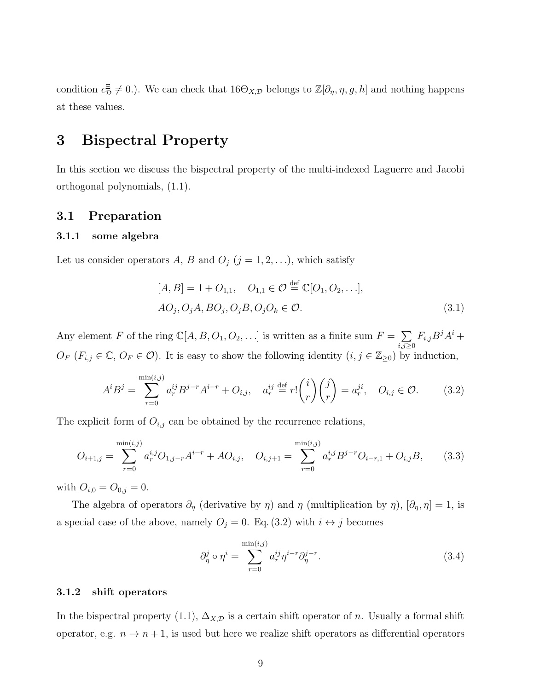condition  $c_D^{\Xi} \neq 0$ .). We can check that  $16\Theta_{X,D}$  belongs to  $\mathbb{Z}[\partial_\eta, \eta, g, h]$  and nothing happens at these values.

## 3 Bispectral Property

In this section we discuss the bispectral property of the multi-indexed Laguerre and Jacobi orthogonal polynomials, (1.1).

#### 3.1 Preparation

#### 3.1.1 some algebra

Let us consider operators A, B and  $O_j$   $(j = 1, 2, \ldots)$ , which satisfy

$$
[A, B] = 1 + O_{1,1}, O_{1,1} \in \mathcal{O} \stackrel{\text{def}}{=} \mathbb{C}[O_1, O_2, \ldots],
$$
  

$$
AO_j, O_jA, BO_j, O_jB, O_jO_k \in \mathcal{O}.
$$
 (3.1)

Any element F of the ring  $\mathbb{C}[A, B, O_1, O_2, \ldots]$  is written as a finite sum  $F = \sum$  $_{i,j\geq0}$  $F_{i,j}B^jA^i +$  $O_F$  ( $F_{i,j} \in \mathbb{C}, O_F \in \mathcal{O}$ ). It is easy to show the following identity  $(i, j \in \mathbb{Z}_{\geq 0})$  by induction,

$$
A^{i}B^{j} = \sum_{r=0}^{\min(i,j)} a_{r}^{ij} B^{j-r} A^{i-r} + O_{i,j}, \quad a_{r}^{ij} \stackrel{\text{def}}{=} r! {i \choose r} {j \choose r} = a_{r}^{ji}, \quad O_{i,j} \in \mathcal{O}.
$$
 (3.2)

The explicit form of  $O_{i,j}$  can be obtained by the recurrence relations,

$$
O_{i+1,j} = \sum_{r=0}^{\min(i,j)} a_r^{i,j} O_{1,j-r} A^{i-r} + AO_{i,j}, \quad O_{i,j+1} = \sum_{r=0}^{\min(i,j)} a_r^{i,j} B^{j-r} O_{i-r,1} + O_{i,j} B,
$$
 (3.3)

with  $O_{i,0} = O_{0,j} = 0$ .

The algebra of operators  $\partial_{\eta}$  (derivative by  $\eta$ ) and  $\eta$  (multiplication by  $\eta$ ),  $[\partial_{\eta}, \eta] = 1$ , is a special case of the above, namely  $O_j = 0$ . Eq. (3.2) with  $i \leftrightarrow j$  becomes

$$
\partial_{\eta}^{j} \circ \eta^{i} = \sum_{r=0}^{\min(i,j)} a_r^{ij} \eta^{i-r} \partial_{\eta}^{j-r}.
$$
 (3.4)

#### 3.1.2 shift operators

In the bispectral property (1.1),  $\Delta_{X,\mathcal{D}}$  is a certain shift operator of n. Usually a formal shift operator, e.g.  $n \to n+1$ , is used but here we realize shift operators as differential operators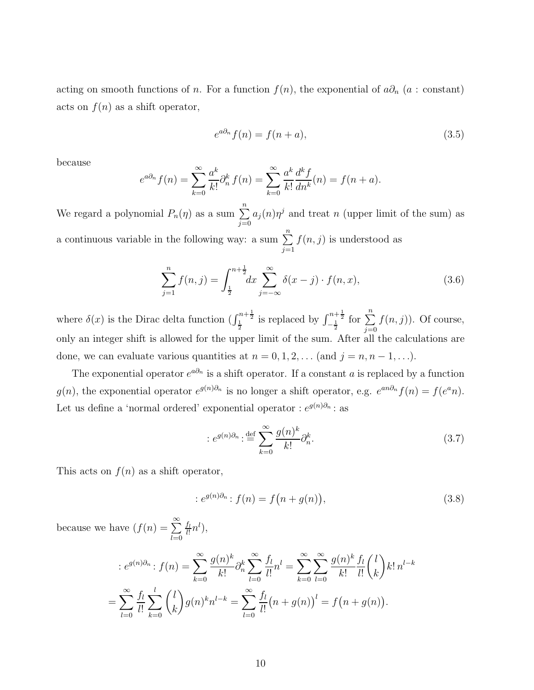acting on smooth functions of n. For a function  $f(n)$ , the exponential of  $a\partial_n$  (a : constant) acts on  $f(n)$  as a shift operator,

$$
e^{a\partial_n} f(n) = f(n+a),\tag{3.5}
$$

because

$$
e^{a\partial_n} f(n) = \sum_{k=0}^{\infty} \frac{a^k}{k!} \partial_n^k f(n) = \sum_{k=0}^{\infty} \frac{a^k}{k!} \frac{d^k f}{dn^k}(n) = f(n+a).
$$

We regard a polynomial  $P_n(\eta)$  as a sum  $\sum_{n=1}^{\infty}$  $j=0$  $a_j(n)\eta^j$  and treat n (upper limit of the sum) as a continuous variable in the following way: a sum  $\sum_{n=1}^{\infty}$  $j=1$  $f(n, j)$  is understood as

$$
\sum_{j=1}^{n} f(n,j) = \int_{\frac{1}{2}}^{n+\frac{1}{2}} dx \sum_{j=-\infty}^{\infty} \delta(x-j) \cdot f(n,x), \tag{3.6}
$$

where  $\delta(x)$  is the Dirac delta function  $\left(\int_{\frac{1}{2}}^{n+\frac{1}{2}}$  is replaced by  $\int_{-\frac{1}{2}}^{n+\frac{1}{2}}$  for  $\sum_{i=0}^{n}$  $j=0$  $f(n, j)$ ). Of course, only an integer shift is allowed for the upper limit of the sum. After all the calculations are done, we can evaluate various quantities at  $n = 0, 1, 2, \ldots$  (and  $j = n, n - 1, \ldots$ ).

The exponential operator  $e^{a\partial_n}$  is a shift operator. If a constant a is replaced by a function  $g(n)$ , the exponential operator  $e^{g(n)\partial_n}$  is no longer a shift operator, e.g.  $e^{an\partial_n}f(n) = f(e^an)$ . Let us define a 'normal ordered' exponential operator :  $e^{g(n)\partial_n}$ : as

$$
: e^{g(n)\partial_n} : \stackrel{\text{def}}{=} \sum_{k=0}^{\infty} \frac{g(n)^k}{k!} \partial_n^k.
$$
 (3.7)

This acts on  $f(n)$  as a shift operator,

$$
: e^{g(n)\partial_n} : f(n) = f(n + g(n)),
$$
\n(3.8)

because we have  $(f(n) = \sum_{n=1}^{\infty}$  $_{l=0}$  $f_l$  $\frac{f_l}{l!} n^l),$ 

$$
:e^{g(n)\partial_n}:f(n)=\sum_{k=0}^{\infty}\frac{g(n)^k}{k!}\partial_n^k\sum_{l=0}^{\infty}\frac{f_l}{l!}n^l=\sum_{k=0}^{\infty}\sum_{l=0}^{\infty}\frac{g(n)^k}{k!}\frac{f_l}{l!} {l \choose k}k!n^{l-k}
$$

$$
=\sum_{l=0}^{\infty}\frac{f_l}{l!}\sum_{k=0}^l {l \choose k}g(n)^k n^{l-k}=\sum_{l=0}^{\infty}\frac{f_l}{l!}(n+g(n))^l=f(n+g(n)).
$$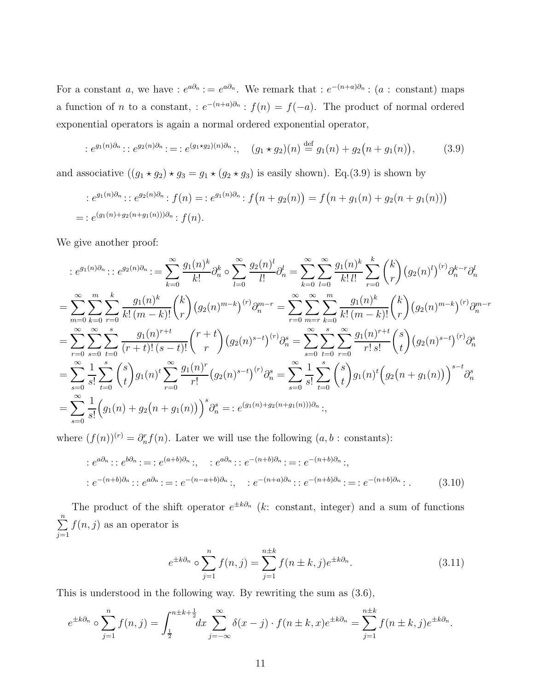For a constant a, we have :  $e^{a\partial_n}$  :  $= e^{a\partial_n}$ . We remark that :  $e^{-(n+a)\partial_n}$  :  $(a: constant)$  maps a function of *n* to a constant, :  $e^{-(n+a)\partial_n}$ :  $f(n) = f(-a)$ . The product of normal ordered exponential operators is again a normal ordered exponential operator,

$$
: e^{g_1(n)\partial_n} :: e^{g_2(n)\partial_n} :=: e^{(g_1 \star g_2)(n)\partial_n} : , \quad (g_1 \star g_2)(n) \stackrel{\text{def}}{=} g_1(n) + g_2(n + g_1(n)), \tag{3.9}
$$

and associative  $((g_1 \star g_2) \star g_3 = g_1 \star (g_2 \star g_3)$  is easily shown). Eq.(3.9) is shown by

$$
e^{g_1(n)\partial_n} :: e^{g_2(n)\partial_n} : f(n) = : e^{g_1(n)\partial_n} : f(n+g_2(n)) = f(n+g_1(n)+g_2(n+g_1(n)))
$$
  
= :  $e^{(g_1(n)+g_2(n+g_1(n)))\partial_n} : f(n)$ .

We give another proof:

$$
:e^{g_1(n)\partial_n}:e^{g_2(n)\partial_n}:=\sum_{k=0}^{\infty}\frac{g_1(n)^k}{k!}\partial_n^k\circ\sum_{l=0}^{\infty}\frac{g_2(n)^l}{l!}\partial_n^l=\sum_{k=0}^{\infty}\sum_{l=0}^{\infty}\frac{g_1(n)^k}{k!l!}\sum_{r=0}^k\binom{k}{r}(g_2(n)^l)^{(r)}\partial_n^{k-r}\partial_n^l
$$
  
\n
$$
=\sum_{m=0}^{\infty}\sum_{k=0}^m\sum_{r=0}^k\frac{g_1(n)^k}{k! (m-k)!}\binom{k}{r}(g_2(n)^{m-k})^{(r)}\partial_n^{m-r}=\sum_{r=0}^{\infty}\sum_{m=r}^{\infty}\sum_{k=0}^{\infty}\frac{g_1(n)^k}{k! (m-k)!}\binom{k}{r}(g_2(n)^{m-k})^{(r)}\partial_n^{m-r}
$$
  
\n
$$
=\sum_{r=0}^{\infty}\sum_{s=0}^{\infty}\sum_{t=0}^s\frac{g_1(n)^{r+t}}{(r+t)!(s-t)!}\binom{r+t}{r}(g_2(n)^{s-t})^{(r)}\partial_n^s=\sum_{s=0}^{\infty}\sum_{t=0}^s\sum_{r=0}^{\infty}\sum_{r=0}^{\infty}\frac{g_1(n)^{r+t}}{r!}\binom{s}{t}(g_2(n)^{s-t})^{(r)}\partial_n^s
$$
  
\n
$$
=\sum_{s=0}^{\infty}\frac{1}{s!}\sum_{t=0}^s\binom{s}{t}g_1(n)^t\sum_{r=0}^{\infty}\frac{g_1(n)^r}{r!}(g_2(n)^{s-t})^{(r)}\partial_n^s=\sum_{s=0}^{\infty}\frac{1}{s!}\sum_{t=0}^s\binom{s}{t}g_1(n)^t\big(g_2(n+g_1(n))\big)^{s-t}\partial_n^s
$$
  
\n
$$
=\sum_{s=0}^{\infty}\frac{1}{s!}\big(g_1(n)+g_2(n+g_1(n))\big)^s\partial_n^s=:e^{(g_1(n)+g_2(n+g_1(n)))\partial_n};
$$

where  $(f(n))^{(r)} = \partial_n^r f(n)$ . Later we will use the following  $(a, b : \text{constants})$ :

$$
: e^{a\partial_n} : : e^{b\partial_n} : = : e^{(a+b)\partial_n} : , \quad : e^{a\partial_n} : : e^{-(n+b)\partial_n} : = : e^{-(n+b)\partial_n} : ,
$$

$$
: e^{-(n+b)\partial_n} : : e^{a\partial_n} : = : e^{-(n-a+b)\partial_n} : , \quad : e^{-(n+a)\partial_n} : : e^{-(n+b)\partial_n} : = : e^{-(n+b)\partial_n} : .
$$
(3.10)

The product of the shift operator  $e^{\pm k\partial n}$  (k: constant, integer) and a sum of functions  $\sum_{n=1}^{\infty}$  $j=1$  $f(n, j)$  as an operator is

$$
e^{\pm k\partial_n} \circ \sum_{j=1}^n f(n,j) = \sum_{j=1}^{n\pm k} f(n \pm k, j) e^{\pm k\partial_n}.
$$
 (3.11)

This is understood in the following way. By rewriting the sum as (3.6),

$$
e^{\pm k\partial_n} \circ \sum_{j=1}^n f(n,j) = \int_{\frac{1}{2}}^{n\pm k + \frac{1}{2}} dx \sum_{j=-\infty}^{\infty} \delta(x-j) \cdot f(n\pm k, x) e^{\pm k\partial_n} = \sum_{j=1}^{n\pm k} f(n\pm k, j) e^{\pm k\partial_n}.
$$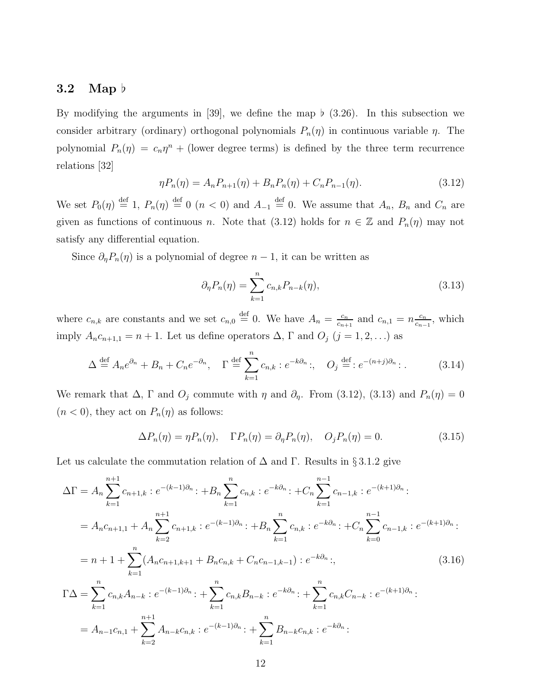#### 3.2 Map ♭

By modifying the arguments in [39], we define the map  $\flat$  (3.26). In this subsection we consider arbitrary (ordinary) orthogonal polynomials  $P_n(\eta)$  in continuous variable  $\eta$ . The polynomial  $P_n(\eta) = c_n \eta^n +$  (lower degree terms) is defined by the three term recurrence relations [32]

$$
\eta P_n(\eta) = A_n P_{n+1}(\eta) + B_n P_n(\eta) + C_n P_{n-1}(\eta). \tag{3.12}
$$

We set  $P_0(\eta) \stackrel{\text{def}}{=} 1$ ,  $P_n(\eta) \stackrel{\text{def}}{=} 0$  ( $n < 0$ ) and  $A_{-1} \stackrel{\text{def}}{=} 0$ . We assume that  $A_n$ ,  $B_n$  and  $C_n$  are given as functions of continuous n. Note that (3.12) holds for  $n \in \mathbb{Z}$  and  $P_n(\eta)$  may not satisfy any differential equation.

Since  $\partial_{\eta}P_n(\eta)$  is a polynomial of degree  $n-1$ , it can be written as

$$
\partial_{\eta} P_n(\eta) = \sum_{k=1}^n c_{n,k} P_{n-k}(\eta), \qquad (3.13)
$$

where  $c_{n,k}$  are constants and we set  $c_{n,0} \stackrel{\text{def}}{=} 0$ . We have  $A_n = \frac{c_n}{c_{n,k}}$  $\frac{c_n}{c_{n+1}}$  and  $c_{n,1} = n \frac{c_n}{c_{n-1}}$  $\frac{c_n}{c_{n-1}}$ , which imply  $A_n c_{n+1,1} = n+1$ . Let us define operators  $\Delta$ ,  $\Gamma$  and  $O_j$   $(j = 1, 2, ...)$  as

$$
\Delta \stackrel{\text{def}}{=} A_n e^{\partial_n} + B_n + C_n e^{-\partial_n}, \quad \Gamma \stackrel{\text{def}}{=} \sum_{k=1}^n c_{n,k} : e^{-k\partial_n} :, \quad O_j \stackrel{\text{def}}{=} : e^{-(n+j)\partial_n} :.
$$
 (3.14)

We remark that  $\Delta$ ,  $\Gamma$  and  $O_j$  commute with  $\eta$  and  $\partial_{\eta}$ . From (3.12), (3.13) and  $P_n(\eta) = 0$  $(n < 0)$ , they act on  $P_n(\eta)$  as follows:

$$
\Delta P_n(\eta) = \eta P_n(\eta), \quad \Gamma P_n(\eta) = \partial_\eta P_n(\eta), \quad O_j P_n(\eta) = 0.
$$
\n(3.15)

Let us calculate the commutation relation of  $\Delta$  and  $\Gamma$ . Results in §3.1.2 give

$$
\Delta\Gamma = A_n \sum_{k=1}^{n+1} c_{n+1,k} : e^{-(k-1)\partial_n} : + B_n \sum_{k=1}^n c_{n,k} : e^{-k\partial_n} : + C_n \sum_{k=1}^{n-1} c_{n-1,k} : e^{-(k+1)\partial_n} :
$$
  
\n
$$
= A_n c_{n+1,1} + A_n \sum_{k=2}^{n+1} c_{n+1,k} : e^{-(k-1)\partial_n} : + B_n \sum_{k=1}^n c_{n,k} : e^{-k\partial_n} : + C_n \sum_{k=0}^{n-1} c_{n-1,k} : e^{-(k+1)\partial_n} :
$$
  
\n
$$
= n + 1 + \sum_{k=1}^n (A_n c_{n+1,k+1} + B_n c_{n,k} + C_n c_{n-1,k-1}) : e^{-k\partial_n} ;
$$
  
\n
$$
\Gamma\Delta = \sum_{k=1}^n c_{n,k} A_{n-k} : e^{-(k-1)\partial_n} : + \sum_{k=1}^n c_{n,k} B_{n-k} : e^{-k\partial_n} : + \sum_{k=1}^n c_{n,k} C_{n-k} : e^{-(k+1)\partial_n} .
$$
  
\n
$$
= A_{n-1} c_{n,1} + \sum_{k=2}^{n+1} A_{n-k} c_{n,k} : e^{-(k-1)\partial_n} : + \sum_{k=1}^n B_{n-k} c_{n,k} : e^{-k\partial_n} :
$$
 (3.16)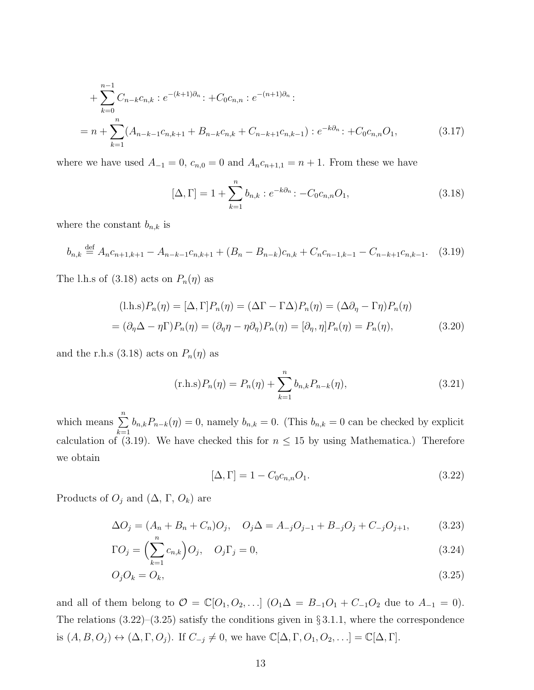+ 
$$
\sum_{k=0}^{n-1} C_{n-k}c_{n,k}
$$
 :  $e^{-(k+1)\partial_n}$  :  $+C_0c_{n,n}$  :  $e^{-(n+1)\partial_n}$  :  
\n=  $n + \sum_{k=1}^{n} (A_{n-k-1}c_{n,k+1} + B_{n-k}c_{n,k} + C_{n-k+1}c_{n,k-1})$  :  $e^{-k\partial_n}$  :  $+C_0c_{n,n}O_1$ , (3.17)

where we have used  $A_{-1} = 0$ ,  $c_{n,0} = 0$  and  $A_n c_{n+1,1} = n+1$ . From these we have

$$
[\Delta, \Gamma] = 1 + \sum_{k=1}^{n} b_{n,k} : e^{-k\partial_n} : -C_0 c_{n,n} O_1,
$$
\n(3.18)

where the constant  $b_{n,k}$  is

$$
b_{n,k} \stackrel{\text{def}}{=} A_n c_{n+1,k+1} - A_{n-k-1} c_{n,k+1} + (B_n - B_{n-k}) c_{n,k} + C_n c_{n-1,k-1} - C_{n-k+1} c_{n,k-1}.
$$
 (3.19)

The l.h.s of (3.18) acts on  $P_n(\eta)$  as

$$
(l.h.s)P_n(\eta) = [\Delta, \Gamma]P_n(\eta) = (\Delta\Gamma - \Gamma\Delta)P_n(\eta) = (\Delta\partial_\eta - \Gamma\eta)P_n(\eta)
$$
  
=  $(\partial_\eta \Delta - \eta \Gamma)P_n(\eta) = (\partial_\eta \eta - \eta \partial_\eta)P_n(\eta) = [\partial_\eta, \eta]P_n(\eta) = P_n(\eta),$  (3.20)

and the r.h.s (3.18) acts on  $P_n(\eta)$  as

$$
(\text{r.h.s})P_n(\eta) = P_n(\eta) + \sum_{k=1}^n b_{n,k} P_{n-k}(\eta), \qquad (3.21)
$$

which means  $\sum_{n=1}^{\infty}$  $k=1$  $b_{n,k}P_{n-k}(\eta) = 0$ , namely  $b_{n,k} = 0$ . (This  $b_{n,k} = 0$  can be checked by explicit calculation of (3.19). We have checked this for  $n \leq 15$  by using Mathematica.) Therefore we obtain

$$
[\Delta, \Gamma] = 1 - C_0 c_{n,n} O_1. \tag{3.22}
$$

Products of  $O_j$  and  $(\Delta, \Gamma, O_k)$  are

$$
\Delta O_j = (A_n + B_n + C_n)O_j, \quad O_j \Delta = A_{-j}O_{j-1} + B_{-j}O_j + C_{-j}O_{j+1},
$$
(3.23)

$$
\Gamma O_j = \left(\sum_{k=1}^n c_{n,k}\right) O_j, \quad O_j \Gamma_j = 0,\tag{3.24}
$$

$$
O_j O_k = O_k,\tag{3.25}
$$

and all of them belong to  $O = \mathbb{C}[O_1, O_2, \ldots]$   $(O_1 \Delta = B_{-1}O_1 + C_{-1}O_2$  due to  $A_{-1} = 0$ . The relations  $(3.22)$ – $(3.25)$  satisfy the conditions given in § 3.1.1, where the correspondence is  $(A, B, O_j) \leftrightarrow (\Delta, \Gamma, O_j)$ . If  $C_{-j} \neq 0$ , we have  $\mathbb{C}[\Delta, \Gamma, O_1, O_2, \ldots] = \mathbb{C}[\Delta, \Gamma]$ .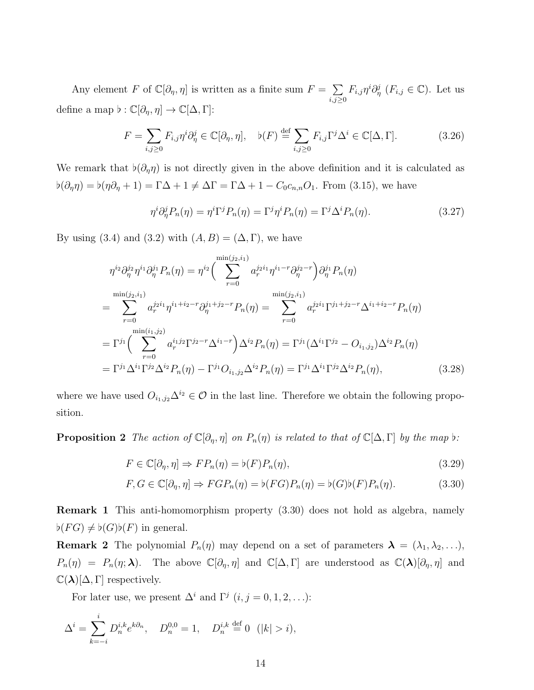Any element F of  $\mathbb{C}[\partial_\eta, \eta]$  is written as a finite sum  $F = \sum$  $_{i,j\geq0}$  $F_{i,j}\eta^i\partial_\eta^j$   $(F_{i,j}\in\mathbb{C})$ . Let us define a map  $\flat: \mathbb{C}[\partial_\eta, \eta] \to \mathbb{C}[\Delta, \Gamma]$ :

$$
F = \sum_{i,j\geq 0} F_{i,j} \eta^i \partial_\eta^j \in \mathbb{C}[\partial_\eta, \eta], \quad \flat(F) \stackrel{\text{def}}{=} \sum_{i,j\geq 0} F_{i,j} \Gamma^j \Delta^i \in \mathbb{C}[\Delta, \Gamma]. \tag{3.26}
$$

We remark that  $\flat(\partial_{\eta}\eta)$  is not directly given in the above definition and it is calculated as  $\flat(\partial_{\eta}\eta) = \flat(\eta\partial_{\eta} + 1) = \Gamma\Delta + 1 \neq \Delta\Gamma = \Gamma\Delta + 1 - C_0c_{n,n}O_1$ . From (3.15), we have

$$
\eta^{i}\partial_{\eta}^{j}P_{n}(\eta) = \eta^{i}\Gamma^{j}P_{n}(\eta) = \Gamma^{j}\eta^{i}P_{n}(\eta) = \Gamma^{j}\Delta^{i}P_{n}(\eta). \tag{3.27}
$$

By using (3.4) and (3.2) with  $(A, B) = (\Delta, \Gamma)$ , we have

$$
\eta^{i_2} \partial_{\eta}^{j_2} \eta^{i_1} \partial_{\eta}^{j_1} P_n(\eta) = \eta^{i_2} \Big( \sum_{r=0}^{\min(j_2, i_1)} a_r^{j_2 i_1} \eta^{i_1 - r} \partial_{\eta}^{j_2 - r} \Big) \partial_{\eta}^{j_1} P_n(\eta)
$$
  
\n
$$
= \sum_{r=0}^{\min(j_2, i_1)} a_r^{j_2 i_1} \eta^{i_1 + i_2 - r} \partial_{\eta}^{j_1 + j_2 - r} P_n(\eta) = \sum_{r=0}^{\min(j_2, i_1)} a_r^{j_2 i_1} \Gamma^{j_1 + j_2 - r} \Delta^{i_1 + i_2 - r} P_n(\eta)
$$
  
\n
$$
= \Gamma^{j_1} \Big( \sum_{r=0}^{\min(i_1, j_2)} a_r^{i_1 j_2} \Gamma^{j_2 - r} \Delta^{i_1 - r} \Big) \Delta^{i_2} P_n(\eta) = \Gamma^{j_1} (\Delta^{i_1} \Gamma^{j_2} - O_{i_1, j_2}) \Delta^{i_2} P_n(\eta)
$$
  
\n
$$
= \Gamma^{j_1} \Delta^{i_1} \Gamma^{j_2} \Delta^{i_2} P_n(\eta) - \Gamma^{j_1} O_{i_1, j_2} \Delta^{i_2} P_n(\eta) = \Gamma^{j_1} \Delta^{i_1} \Gamma^{j_2} \Delta^{i_2} P_n(\eta), \qquad (3.28)
$$

where we have used  $O_{i_1,j_2}\Delta^{i_2} \in \mathcal{O}$  in the last line. Therefore we obtain the following proposition.

**Proposition 2** The action of  $\mathbb{C}[\partial_{\eta}, \eta]$  on  $P_n(\eta)$  is related to that of  $\mathbb{C}[\Delta, \Gamma]$  by the map  $\flat$ :

$$
F \in \mathbb{C}[\partial_{\eta}, \eta] \Rightarrow FP_n(\eta) = \flat(F)P_n(\eta),\tag{3.29}
$$

$$
F, G \in \mathbb{C}[\partial_{\eta}, \eta] \Rightarrow FGP_n(\eta) = \flat(FG)P_n(\eta) = \flat(G)\flat(F)P_n(\eta). \tag{3.30}
$$

Remark 1 This anti-homomorphism property (3.30) does not hold as algebra, namely  $\flat(FG) \neq \flat(G)\flat(F)$  in general.

**Remark 2** The polynomial  $P_n(\eta)$  may depend on a set of parameters  $\lambda = (\lambda_1, \lambda_2, \ldots),$  $P_n(\eta) = P_n(\eta; \lambda)$ . The above  $\mathbb{C}[\partial_\eta, \eta]$  and  $\mathbb{C}[\Delta, \Gamma]$  are understood as  $\mathbb{C}(\lambda)[\partial_\eta, \eta]$  and  $\mathbb{C}(\lambda)[\Delta,\Gamma]$  respectively.

For later use, we present  $\Delta^i$  and  $\Gamma^j$   $(i, j = 0, 1, 2, ...)$ :

$$
\Delta^{i} = \sum_{k=-i}^{i} D_{n}^{i,k} e^{k\partial_{n}}, \quad D_{n}^{0,0} = 1, \quad D_{n}^{i,k} \stackrel{\text{def}}{=} 0 \quad (|k| > i),
$$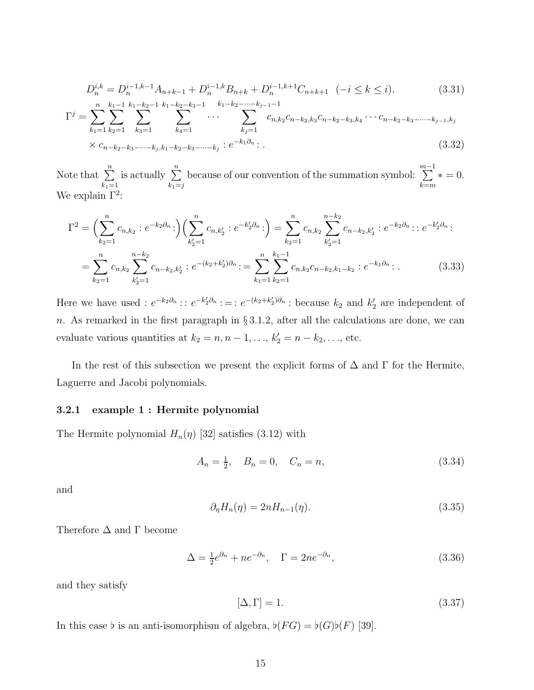$$
D_n^{i,k} = D_n^{i-1,k-1} A_{n+k-1} + D_n^{i-1,k} B_{n+k} + D_n^{i-1,k+1} C_{n+k+1} \quad (-i \le k \le i),
$$
  
\n
$$
n \quad k_1 - 1 \quad k_1 - k_2 - 1 \quad k_1 - k_2 - k_3 - 1 \quad k_1 - k_2 - \dots - k_{j-1} - 1
$$
\n(3.31)

$$
\Gamma^{j} = \sum_{k_{1}=1}^{n} \sum_{k_{2}=1}^{k_{1}-1} \sum_{k_{3}=1}^{k_{1}-k_{2}-1} \sum_{k_{4}=1}^{k_{1}-k_{2}-k_{3}-1} \cdots \sum_{k_{j}=1}^{k_{1}-k_{2}-\cdots-k_{j-1}-1} c_{n,k_{2}} c_{n-k_{2},k_{3}} c_{n-k_{2}-k_{3},k_{4}} \cdots c_{n-k_{2}-k_{3}-\cdots-k_{j-1},k_{j}} \times c_{n-k_{2}-k_{3}-\cdots-k_{j},k_{1}-k_{2}-k_{3}-\cdots-k_{j}} : e^{-k_{1}\partial_{n}}.
$$
\n(3.32)

Note that  $\sum_{n=1}^{\infty}$  $k_1=1$ is actually  $\sum_{n=1}^{\infty}$  $k_1=j$ because of our convention of the summation symbol:  $\sum_{n=1}^{m-1}$  $k = m$  $* = 0.$ We explain  $\Gamma^2$ :

$$
\Gamma^{2} = \left(\sum_{k_{2}=1}^{n} c_{n,k_{2}} : e^{-k_{2}\partial_{n}}:\right) \left(\sum_{k_{2}=1}^{n} c_{n,k_{2}'} : e^{-k_{2}'\partial_{n}}:\right) = \sum_{k_{2}=1}^{n} c_{n,k_{2}} \sum_{k_{2}=1}^{n-k_{2}} c_{n-k_{2},k_{2}'} : e^{-k_{2}\partial_{n}} : e^{-k_{2}'\partial_{n}}:
$$
  

$$
= \sum_{k_{2}=1}^{n} c_{n,k_{2}} \sum_{k_{2}=1}^{n-k_{2}} c_{n-k_{2},k_{2}'} : e^{-(k_{2}+k_{2}')\partial_{n}} := \sum_{k_{1}=1}^{n} \sum_{k_{2}=1}^{k_{1}-1} c_{n,k_{2}} c_{n-k_{2},k_{1}-k_{2}} : e^{-k_{1}\partial_{n}} : .
$$
 (3.33)

Here we have used :  $e^{-k_2 \partial_n}$ :  $e^{-k_2 \partial_n}$ :  $e^{-(k_2+k_2')\partial_n}$ : because  $k_2$  and  $k_2'$  are independent of n. As remarked in the first paragraph in  $\S 3.1.2$ , after all the calculations are done, we can evaluate various quantities at  $k_2 = n, n - 1, \ldots, k'_2 = n - k_2, \ldots$ , etc.

In the rest of this subsection we present the explicit forms of  $\Delta$  and  $\Gamma$  for the Hermite, Laguerre and Jacobi polynomials.

#### 3.2.1 example 1 : Hermite polynomial

The Hermite polynomial  $H_n(\eta)$  [32] satisfies (3.12) with

$$
A_n = \frac{1}{2}, \quad B_n = 0, \quad C_n = n,\tag{3.34}
$$

and

$$
\partial_{\eta} H_n(\eta) = 2n H_{n-1}(\eta). \tag{3.35}
$$

Therefore  $\Delta$  and  $\Gamma$  become

$$
\Delta = \frac{1}{2}e^{\partial_n} + ne^{-\partial_n}, \quad \Gamma = 2ne^{-\partial_n}, \tag{3.36}
$$

and they satisfy

$$
[\Delta, \Gamma] = 1. \tag{3.37}
$$

In this case  $\flat$  is an anti-isomorphism of algebra,  $\flat(FG) = \flat(G)\flat(F)$  [39].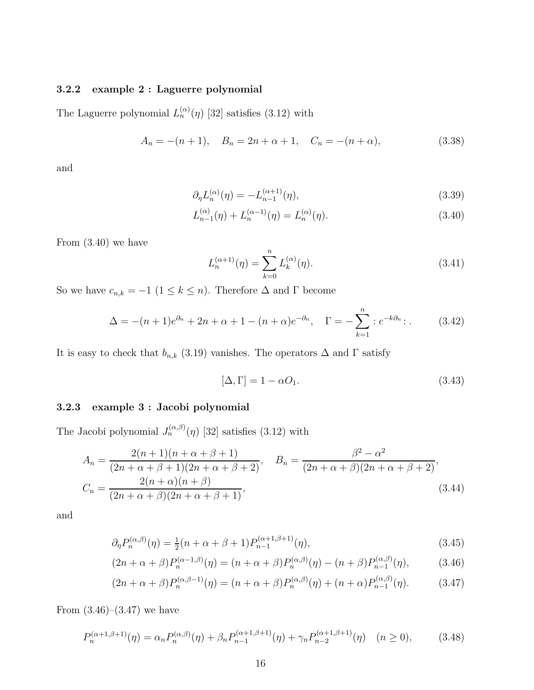#### 3.2.2 example 2 : Laguerre polynomial

The Laguerre polynomial  $L_n^{(\alpha)}(\eta)$  [32] satisfies (3.12) with

$$
A_n = -(n+1), \quad B_n = 2n + \alpha + 1, \quad C_n = -(n+\alpha), \tag{3.38}
$$

and

$$
\partial_{\eta}L_n^{(\alpha)}(\eta) = -L_{n-1}^{(\alpha+1)}(\eta),\tag{3.39}
$$

$$
L_{n-1}^{(\alpha)}(\eta) + L_n^{(\alpha-1)}(\eta) = L_n^{(\alpha)}(\eta). \tag{3.40}
$$

From (3.40) we have

$$
L_n^{(\alpha+1)}(\eta) = \sum_{k=0}^n L_k^{(\alpha)}(\eta). \tag{3.41}
$$

So we have  $c_{n,k} = -1$  ( $1 \le k \le n$ ). Therefore  $\Delta$  and  $\Gamma$  become

$$
\Delta = -(n+1)e^{\partial_n} + 2n + \alpha + 1 - (n+\alpha)e^{-\partial_n}, \quad \Gamma = -\sum_{k=1}^n :e^{-k\partial_n}:\tag{3.42}
$$

It is easy to check that  $b_{n,k}$  (3.19) vanishes. The operators  $\Delta$  and  $\Gamma$  satisfy

$$
[\Delta, \Gamma] = 1 - \alpha O_1. \tag{3.43}
$$

### 3.2.3 example 3 : Jacobi polynomial

The Jacobi polynomial  $J_n^{(\alpha,\beta)}(\eta)$  [32] satisfies (3.12) with

$$
A_n = \frac{2(n+1)(n+\alpha+\beta+1)}{(2n+\alpha+\beta+1)(2n+\alpha+\beta+2)}, \quad B_n = \frac{\beta^2 - \alpha^2}{(2n+\alpha+\beta)(2n+\alpha+\beta+2)},
$$
  

$$
C_n = \frac{2(n+\alpha)(n+\beta)}{(2n+\alpha+\beta)(2n+\alpha+\beta+1)},
$$
(3.44)

and

$$
\partial_{\eta} P_n^{(\alpha,\beta)}(\eta) = \frac{1}{2}(n+\alpha+\beta+1)P_{n-1}^{(\alpha+1,\beta+1)}(\eta),\tag{3.45}
$$

$$
(2n + \alpha + \beta)P_n^{(\alpha - 1, \beta)}(\eta) = (n + \alpha + \beta)P_n^{(\alpha, \beta)}(\eta) - (n + \beta)P_{n-1}^{(\alpha, \beta)}(\eta),
$$
(3.46)

$$
(2n + \alpha + \beta)P_n^{(\alpha,\beta-1)}(\eta) = (n + \alpha + \beta)P_n^{(\alpha,\beta)}(\eta) + (n + \alpha)P_{n-1}^{(\alpha,\beta)}(\eta). \tag{3.47}
$$

From  $(3.46)$ – $(3.47)$  we have

$$
P_n^{(\alpha+1,\beta+1)}(\eta) = \alpha_n P_n^{(\alpha,\beta)}(\eta) + \beta_n P_{n-1}^{(\alpha+1,\beta+1)}(\eta) + \gamma_n P_{n-2}^{(\alpha+1,\beta+1)}(\eta) \quad (n \ge 0),\tag{3.48}
$$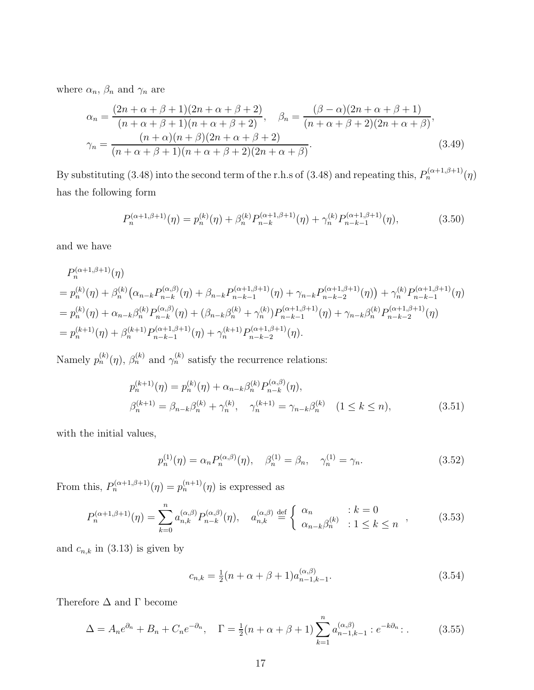where  $\alpha_n$ ,  $\beta_n$  and  $\gamma_n$  are

$$
\alpha_n = \frac{(2n + \alpha + \beta + 1)(2n + \alpha + \beta + 2)}{(n + \alpha + \beta + 1)(n + \alpha + \beta + 2)}, \quad \beta_n = \frac{(\beta - \alpha)(2n + \alpha + \beta + 1)}{(n + \alpha + \beta + 2)(2n + \alpha + \beta)},
$$

$$
\gamma_n = \frac{(n + \alpha)(n + \beta)(2n + \alpha + \beta + 2)}{(n + \alpha + \beta + 1)(n + \alpha + \beta + 2)(2n + \alpha + \beta)}.
$$
(3.49)

By substituting (3.48) into the second term of the r.h.s of (3.48) and repeating this,  $P_n^{(\alpha+1,\beta+1)}(\eta)$ has the following form

$$
P_n^{(\alpha+1,\beta+1)}(\eta) = p_n^{(k)}(\eta) + \beta_n^{(k)} P_{n-k}^{(\alpha+1,\beta+1)}(\eta) + \gamma_n^{(k)} P_{n-k-1}^{(\alpha+1,\beta+1)}(\eta),\tag{3.50}
$$

and we have

$$
P_n^{(\alpha+1,\beta+1)}(\eta)
$$
  
=  $p_n^{(k)}(\eta) + \beta_n^{(k)}(\alpha_{n-k}P_{n-k}^{(\alpha,\beta)}(\eta) + \beta_{n-k}P_{n-k-1}^{(\alpha+1,\beta+1)}(\eta) + \gamma_{n-k}P_{n-k-2}^{(\alpha+1,\beta+1)}(\eta)) + \gamma_n^{(k)}P_{n-k-1}^{(\alpha+1,\beta+1)}(\eta)$   
=  $p_n^{(k)}(\eta) + \alpha_{n-k}\beta_n^{(k)}P_{n-k}^{(\alpha,\beta)}(\eta) + (\beta_{n-k}\beta_n^{(k)} + \gamma_n^{(k)})P_{n-k-1}^{(\alpha+1,\beta+1)}(\eta) + \gamma_{n-k}\beta_n^{(k)}P_{n-k-2}^{(\alpha+1,\beta+1)}(\eta)$   
=  $p_n^{(k+1)}(\eta) + \beta_n^{(k+1)}P_{n-k-1}^{(\alpha+1,\beta+1)}(\eta) + \gamma_n^{(k+1)}P_{n-k-2}^{(\alpha+1,\beta+1)}(\eta).$ 

Namely  $p_n^{(k)}(\eta)$ ,  $\beta_n^{(k)}$  and  $\gamma_n^{(k)}$  satisfy the recurrence relations:

$$
p_n^{(k+1)}(\eta) = p_n^{(k)}(\eta) + \alpha_{n-k}\beta_n^{(k)}P_{n-k}^{(\alpha,\beta)}(\eta),
$$
  
\n
$$
\beta_n^{(k+1)} = \beta_{n-k}\beta_n^{(k)} + \gamma_n^{(k)}, \quad \gamma_n^{(k+1)} = \gamma_{n-k}\beta_n^{(k)} \quad (1 \le k \le n),
$$
\n(3.51)

with the initial values,

$$
p_n^{(1)}(\eta) = \alpha_n P_n^{(\alpha,\beta)}(\eta), \quad \beta_n^{(1)} = \beta_n, \quad \gamma_n^{(1)} = \gamma_n.
$$
 (3.52)

From this,  $P_n^{(\alpha+1,\beta+1)}(\eta) = p_n^{(n+1)}(\eta)$  is expressed as

$$
P_n^{(\alpha+1,\beta+1)}(\eta) = \sum_{k=0}^n a_{n,k}^{(\alpha,\beta)} P_{n-k}^{(\alpha,\beta)}(\eta), \quad a_{n,k}^{(\alpha,\beta)} \stackrel{\text{def}}{=} \begin{cases} \alpha_n & : k=0\\ \alpha_{n-k} \beta_n^{(k)} & : 1 \le k \le n \end{cases} \tag{3.53}
$$

and  $c_{n,k}$  in (3.13) is given by

$$
c_{n,k} = \frac{1}{2}(n+\alpha+\beta+1)a_{n-1,k-1}^{(\alpha,\beta)}.
$$
\n(3.54)

Therefore  $\Delta$  and  $\Gamma$  become

$$
\Delta = A_n e^{\partial_n} + B_n + C_n e^{-\partial_n}, \quad \Gamma = \frac{1}{2}(n + \alpha + \beta + 1) \sum_{k=1}^n a_{n-1,k-1}^{(\alpha,\beta)} : e^{-k\partial_n} : .
$$
 (3.55)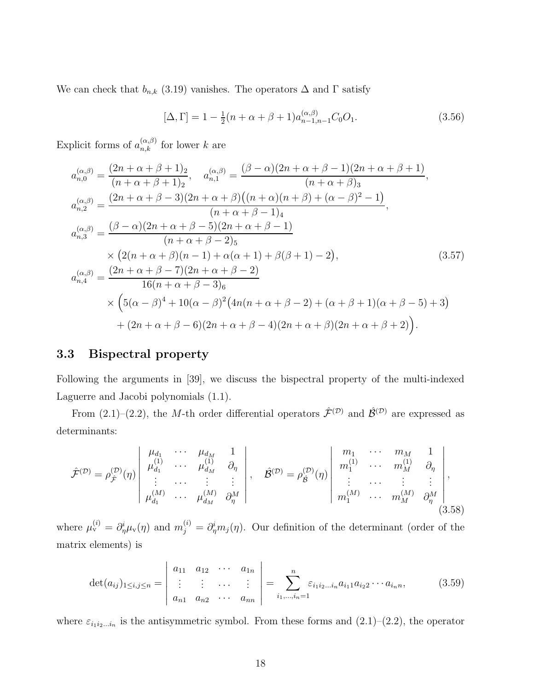We can check that  $b_{n,k}$  (3.19) vanishes. The operators  $\Delta$  and  $\Gamma$  satisfy

$$
[\Delta, \Gamma] = 1 - \frac{1}{2}(n + \alpha + \beta + 1)a_{n-1,n-1}^{(\alpha,\beta)}C_0O_1.
$$
 (3.56)

Explicit forms of  $a_{n,k}^{(\alpha,\beta)}$  for lower k are

$$
a_{n,0}^{(\alpha,\beta)} = \frac{(2n+\alpha+\beta+1)_2}{(n+\alpha+\beta+1)_2}, \quad a_{n,1}^{(\alpha,\beta)} = \frac{(\beta-\alpha)(2n+\alpha+\beta-1)(2n+\alpha+\beta+1)}{(n+\alpha+\beta)_3},
$$
  
\n
$$
a_{n,2}^{(\alpha,\beta)} = \frac{(2n+\alpha+\beta-3)(2n+\alpha+\beta)((n+\alpha)(n+\beta)+(\alpha-\beta)^2-1)}{(n+\alpha+\beta-1)_4},
$$
  
\n
$$
a_{n,3}^{(\alpha,\beta)} = \frac{(\beta-\alpha)(2n+\alpha+\beta-5)(2n+\alpha+\beta-1)}{(n+\alpha+\beta-2)_5}
$$
  
\n
$$
\times (2(n+\alpha+\beta)(n-1)+\alpha(\alpha+1)+\beta(\beta+1)-2),
$$
  
\n
$$
a_{n,4}^{(\alpha,\beta)} = \frac{(2n+\alpha+\beta-7)(2n+\alpha+\beta-2)}{16(n+\alpha+\beta-3)_6}
$$
  
\n
$$
\times \left(5(\alpha-\beta)^4+10(\alpha-\beta)^2(4n(n+\alpha+\beta-2)+(\alpha+\beta+1)(\alpha+\beta-5)+3\right)
$$
  
\n+  $(2n+\alpha+\beta-6)(2n+\alpha+\beta-4)(2n+\alpha+\beta)(2n+\alpha+\beta+2).$  (3.57)

### 3.3 Bispectral property

Following the arguments in [39], we discuss the bispectral property of the multi-indexed Laguerre and Jacobi polynomials (1.1).

From (2.1)–(2.2), the M-th order differential operators  $\hat{\mathcal{F}}^{(\mathcal{D})}$  and  $\hat{\mathcal{B}}^{(\mathcal{D})}$  are expressed as determinants:

$$
\hat{\mathcal{F}}^{(\mathcal{D})} = \rho_{\hat{\mathcal{F}}}^{(\mathcal{D})}(\eta) \begin{vmatrix} \mu_{d_1} & \cdots & \mu_{d_M} & 1 \\ \mu_{d_1}^{(1)} & \cdots & \mu_{d_M}^{(1)} & \partial_{\eta} \\ \vdots & \cdots & \vdots & \vdots \\ \mu_{d_1}^{(M)} & \cdots & \mu_{d_M}^{(M)} & \partial_{\eta}^{M} \end{vmatrix}, \quad \hat{\mathcal{B}}^{(\mathcal{D})} = \rho_{\hat{\mathcal{B}}}^{(\mathcal{D})}(\eta) \begin{vmatrix} m_1 & \cdots & m_M & 1 \\ m_1^{(1)} & \cdots & m_M^{(1)} & \partial_{\eta} \\ \vdots & \cdots & \vdots & \vdots \\ m_1^{(M)} & \cdots & m_M^{(M)} & \partial_{\eta}^{M} \end{vmatrix}, \quad (3.58)
$$

where  $\mu_v^{(i)} = \partial_{\eta}^i \mu_v(\eta)$  and  $m_j^{(i)} = \partial_{\eta}^i m_j(\eta)$ . Our definition of the determinant (order of the matrix elements) is

$$
\det(a_{ij})_{1\leq i,j\leq n} = \begin{vmatrix} a_{11} & a_{12} & \cdots & a_{1n} \\ \vdots & \vdots & \cdots & \vdots \\ a_{n1} & a_{n2} & \cdots & a_{nn} \end{vmatrix} = \sum_{i_1,\ldots,i_n=1}^{n} \varepsilon_{i_1 i_2 \ldots i_n} a_{i_1 1} a_{i_2 2} \cdots a_{i_n n},
$$
(3.59)

where  $\varepsilon_{i_1 i_2 \dots i_n}$  is the antisymmetric symbol. From these forms and  $(2.1)$ – $(2.2)$ , the operator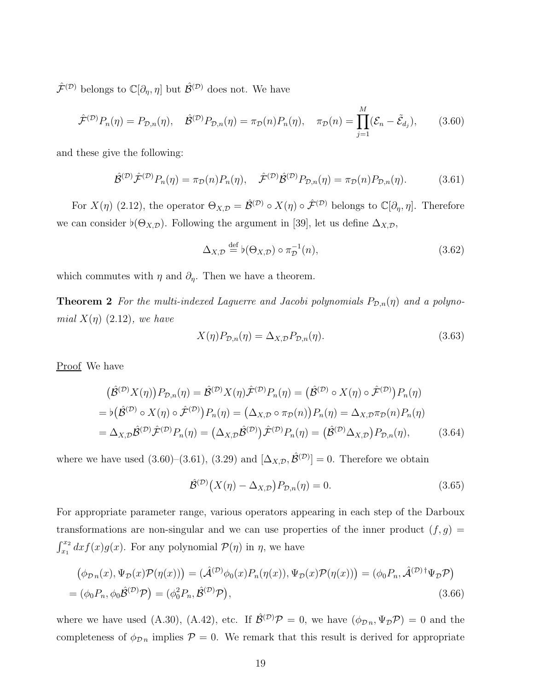$\hat{\mathcal{F}}^{(\mathcal{D})}$  belongs to  $\mathbb{C}[\partial_{\eta},\eta]$  but  $\hat{\mathcal{B}}^{(\mathcal{D})}$  does not. We have

$$
\hat{\mathcal{F}}^{(\mathcal{D})}P_n(\eta) = P_{\mathcal{D},n}(\eta), \quad \hat{\mathcal{B}}^{(\mathcal{D})}P_{\mathcal{D},n}(\eta) = \pi_{\mathcal{D}}(n)P_n(\eta), \quad \pi_{\mathcal{D}}(n) = \prod_{j=1}^M (\mathcal{E}_n - \tilde{\mathcal{E}}_{d_j}), \tag{3.60}
$$

and these give the following:

$$
\hat{\mathcal{B}}^{(\mathcal{D})}\hat{\mathcal{F}}^{(\mathcal{D})}P_n(\eta) = \pi_{\mathcal{D}}(n)P_n(\eta), \quad \hat{\mathcal{F}}^{(\mathcal{D})}\hat{\mathcal{B}}^{(\mathcal{D})}P_{\mathcal{D},n}(\eta) = \pi_{\mathcal{D}}(n)P_{\mathcal{D},n}(\eta). \tag{3.61}
$$

For  $X(\eta)$  (2.12), the operator  $\Theta_{X,\mathcal{D}} = \hat{\mathcal{B}}^{(\mathcal{D})} \circ X(\eta) \circ \hat{\mathcal{F}}^{(\mathcal{D})}$  belongs to  $\mathbb{C}[\partial_{\eta}, \eta]$ . Therefore we can consider  $\flat(\Theta_{X,\mathcal{D}})$ . Following the argument in [39], let us define  $\Delta_{X,\mathcal{D}}$ ,

$$
\Delta_{X,\mathcal{D}} \stackrel{\text{def}}{=} \flat(\Theta_{X,\mathcal{D}}) \circ \pi_{\mathcal{D}}^{-1}(n),\tag{3.62}
$$

which commutes with  $\eta$  and  $\partial_{\eta}$ . Then we have a theorem.

**Theorem 2** For the multi-indexed Laguerre and Jacobi polynomials  $P_{\mathcal{D},n}(\eta)$  and a polynomial  $X(\eta)$  (2.12), we have

$$
X(\eta)P_{\mathcal{D},n}(\eta) = \Delta_{X,\mathcal{D}}P_{\mathcal{D},n}(\eta). \tag{3.63}
$$

Proof We have

$$
(\hat{\mathcal{B}}^{(\mathcal{D})}X(\eta))P_{\mathcal{D},n}(\eta) = \hat{\mathcal{B}}^{(\mathcal{D})}X(\eta)\hat{\mathcal{F}}^{(\mathcal{D})}P_n(\eta) = (\hat{\mathcal{B}}^{(\mathcal{D})} \circ X(\eta) \circ \hat{\mathcal{F}}^{(\mathcal{D})})P_n(\eta)
$$
  
=  $\flat(\hat{\mathcal{B}}^{(\mathcal{D})} \circ X(\eta) \circ \hat{\mathcal{F}}^{(\mathcal{D})})P_n(\eta) = (\Delta_{X,\mathcal{D}} \circ \pi_{\mathcal{D}}(n))P_n(\eta) = \Delta_{X,\mathcal{D}}\pi_{\mathcal{D}}(n)P_n(\eta)$   
=  $\Delta_{X,\mathcal{D}}\hat{\mathcal{B}}^{(\mathcal{D})}\hat{\mathcal{F}}^{(\mathcal{D})}P_n(\eta) = (\Delta_{X,\mathcal{D}}\hat{\mathcal{B}}^{(\mathcal{D})})\hat{\mathcal{F}}^{(\mathcal{D})}P_n(\eta) = (\hat{\mathcal{B}}^{(\mathcal{D})}\Delta_{X,\mathcal{D}})P_{\mathcal{D},n}(\eta),$  (3.64)

where we have used  $(3.60)$ – $(3.61)$ ,  $(3.29)$  and  $[\Delta_{X,D}, \hat{\mathcal{B}}^{(D)}] = 0$ . Therefore we obtain

$$
\hat{\mathcal{B}}^{(\mathcal{D})}\left(X(\eta) - \Delta_{X,\mathcal{D}}\right)P_{\mathcal{D},n}(\eta) = 0. \tag{3.65}
$$

For appropriate parameter range, various operators appearing in each step of the Darboux transformations are non-singular and we can use properties of the inner product  $(f, g)$  =  $\int_{x_1}^{x_2} dx f(x)g(x)$ . For any polynomial  $\mathcal{P}(\eta)$  in  $\eta$ , we have

$$
(\phi_{\mathcal{D}n}(x), \Psi_{\mathcal{D}}(x)\mathcal{P}(\eta(x))) = (\hat{\mathcal{A}}^{(\mathcal{D})}\phi_0(x)P_n(\eta(x)), \Psi_{\mathcal{D}}(x)\mathcal{P}(\eta(x))) = (\phi_0 P_n, \hat{\mathcal{A}}^{(\mathcal{D})\dagger}\Psi_{\mathcal{D}}\mathcal{P})
$$
  
=  $(\phi_0 P_n, \phi_0 \hat{\mathcal{B}}^{(\mathcal{D})}\mathcal{P}) = (\phi_0^2 P_n, \hat{\mathcal{B}}^{(\mathcal{D})}\mathcal{P}),$  (3.66)

where we have used (A.30), (A.42), etc. If  $\hat{\mathcal{B}}^{(\mathcal{D})}\mathcal{P}=0$ , we have  $(\phi_{\mathcal{D}n},\Psi_{\mathcal{D}}\mathcal{P})=0$  and the completeness of  $\phi_{\mathcal{D}n}$  implies  $\mathcal{P} = 0$ . We remark that this result is derived for appropriate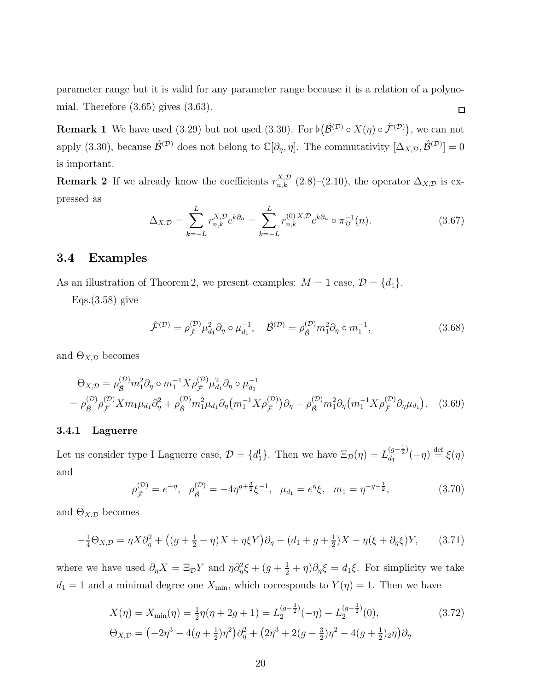parameter range but it is valid for any parameter range because it is a relation of a polynomial. Therefore  $(3.65)$  gives  $(3.63)$ .  $\Box$ 

**Remark 1** We have used (3.29) but not used (3.30). For  $\flat(\hat{\mathcal{B}}^{(\mathcal{D})} \circ X(\eta) \circ \hat{\mathcal{F}}^{(\mathcal{D})})$ , we can not apply (3.30), because  $\hat{\mathcal{B}}^{(\mathcal{D})}$  does not belong to  $\mathbb{C}[\partial_{\eta}, \eta]$ . The commutativity  $[\Delta_{X,\mathcal{D}}, \hat{\mathcal{B}}^{(\mathcal{D})}] = 0$ is important.

**Remark 2** If we already know the coefficients  $r_{n,k}^{X,D}$  (2.8)–(2.10), the operator  $\Delta_{X,D}$  is expressed as

$$
\Delta_{X,\mathcal{D}} = \sum_{k=-L}^{L} r_{n,k}^{X,\mathcal{D}} e^{k\partial_n} = \sum_{k=-L}^{L} r_{n,k}^{(0)} \, x \, \mathcal{D} \, e^{k\partial_n} \circ \pi_{\mathcal{D}}^{-1}(n). \tag{3.67}
$$

### 3.4 Examples

As an illustration of Theorem 2, we present examples:  $M = 1$  case,  $\mathcal{D} = \{d_1\}.$ 

 $Eqs.(3.58)$  give

$$
\hat{\mathcal{F}}^{(\mathcal{D})} = \rho_{\hat{\mathcal{F}}}^{(\mathcal{D})} \mu_{d_1}^2 \partial_{\eta} \circ \mu_{d_1}^{-1}, \quad \hat{\mathcal{B}}^{(\mathcal{D})} = \rho_{\hat{\mathcal{B}}}^{(\mathcal{D})} m_1^2 \partial_{\eta} \circ m_1^{-1}, \tag{3.68}
$$

and  $\Theta_{X,\mathcal{D}}$  becomes

$$
\Theta_{X,\mathcal{D}} = \rho_{\hat{\mathcal{B}}}^{(\mathcal{D})} m_1^2 \partial_{\eta} \circ m_1^{-1} X \rho_{\hat{\mathcal{F}}}^{(\mathcal{D})} \mu_{d_1}^2 \partial_{\eta} \circ \mu_{d_1}^{-1}
$$
\n
$$
= \rho_{\hat{\mathcal{B}}}^{(\mathcal{D})} \rho_{\hat{\mathcal{F}}}^{(\mathcal{D})} X m_1 \mu_{d_1} \partial_{\eta}^2 + \rho_{\hat{\mathcal{B}}}^{(\mathcal{D})} m_1^2 \mu_{d_1} \partial_{\eta} \left( m_1^{-1} X \rho_{\hat{\mathcal{F}}}^{(\mathcal{D})} \right) \partial_{\eta} - \rho_{\hat{\mathcal{B}}}^{(\mathcal{D})} m_1^2 \partial_{\eta} \left( m_1^{-1} X \rho_{\hat{\mathcal{F}}}^{(\mathcal{D})} \partial_{\eta} \mu_{d_1} \right). \tag{3.69}
$$

#### 3.4.1 Laguerre

Let us consider type I Laguerre case,  $\mathcal{D} = \{d_1^I\}$ . Then we have  $\Xi_{\mathcal{D}}(\eta) = L_{d_1}^{(g - \frac{1}{2})}$  $\frac{(g-\frac{1}{2})}{d_1}(-\eta) \stackrel{\text{def}}{=} \xi(\eta)$ and

$$
\rho_{\hat{\mathcal{F}}}^{(\mathcal{D})} = e^{-\eta}, \quad \rho_{\hat{\mathcal{B}}}^{(\mathcal{D})} = -4\eta^{g+\frac{3}{2}}\xi^{-1}, \quad \mu_{d_1} = e^{\eta}\xi, \quad m_1 = \eta^{-g-\frac{1}{2}}, \tag{3.70}
$$

and  $\Theta_{X,\mathcal{D}}$  becomes

$$
-\frac{1}{4}\Theta_{X,\mathcal{D}} = \eta X \partial_{\eta}^{2} + ((g + \frac{1}{2} - \eta)X + \eta \xi Y)\partial_{\eta} - (d_{1} + g + \frac{1}{2})X - \eta(\xi + \partial_{\eta}\xi)Y, \qquad (3.71)
$$

where we have used  $\partial_{\eta}X = \Xi_{\mathcal{D}}Y$  and  $\eta \partial_{\eta}^2 \xi + (g + \frac{1}{2} + \eta) \partial_{\eta} \xi = d_1 \xi$ . For simplicity we take  $d_1 = 1$  and a minimal degree one  $X_{\text{min}}$ , which corresponds to  $Y(\eta) = 1$ . Then we have

$$
X(\eta) = X_{\min}(\eta) = \frac{1}{2}\eta(\eta + 2g + 1) = L_2^{(g-\frac{3}{2})}(-\eta) - L_2^{(g-\frac{3}{2})}(0),
$$
\n
$$
\Theta_{X,\mathcal{D}} = \left(-2\eta^3 - 4(g+\frac{1}{2})\eta^2\right)\partial_\eta^2 + \left(2\eta^3 + 2(g-\frac{3}{2})\eta^2 - 4(g+\frac{1}{2})2\eta\right)\partial_\eta
$$
\n(3.72)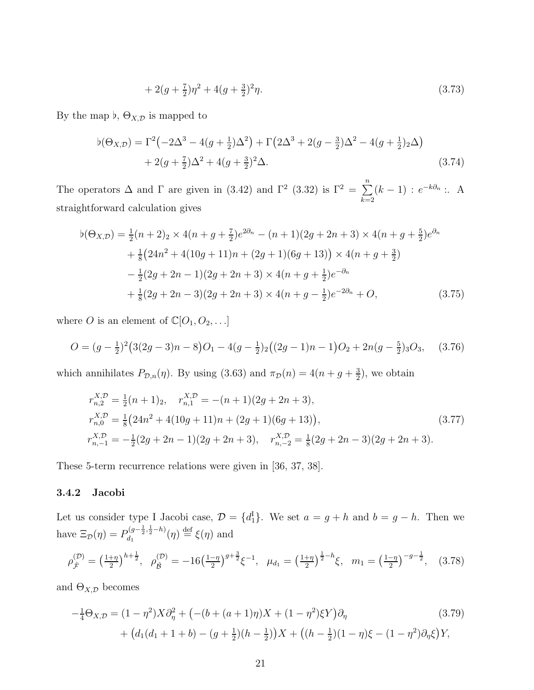$$
+ 2(g + \frac{7}{2})\eta^2 + 4(g + \frac{3}{2})^2\eta. \tag{3.73}
$$

By the map  $\flat$ ,  $\Theta_{X,\mathcal{D}}$  is mapped to

$$
\begin{split} \flat(\Theta_{X,\mathcal{D}}) &= \Gamma^2 \big( -2\Delta^3 - 4(g + \frac{1}{2})\Delta^2 \big) + \Gamma \big( 2\Delta^3 + 2(g - \frac{3}{2})\Delta^2 - 4(g + \frac{1}{2})_2 \Delta \big) \\ &+ 2(g + \frac{7}{2})\Delta^2 + 4(g + \frac{3}{2})^2 \Delta. \end{split} \tag{3.74}
$$

The operators  $\Delta$  and  $\Gamma$  are given in (3.42) and  $\Gamma^2$  (3.32) is  $\Gamma^2 = \sum_{n=1}^{\infty}$  $k=2$  $(k-1)$ :  $e^{-k\partial_n}$ : A straightforward calculation gives

$$
\begin{split} \flat(\Theta_{X,\mathcal{D}}) &= \frac{1}{2}(n+2)_{2} \times 4(n+g+\frac{7}{2})e^{2\partial_{n}} - (n+1)(2g+2n+3) \times 4(n+g+\frac{5}{2})e^{\partial_{n}} \\ &+ \frac{1}{8}(24n^{2}+4(10g+11)n+(2g+1)(6g+13)) \times 4(n+g+\frac{3}{2}) \\ &- \frac{1}{2}(2g+2n-1)(2g+2n+3) \times 4(n+g+\frac{1}{2})e^{-\partial_{n}} \\ &+ \frac{1}{8}(2g+2n-3)(2g+2n+3) \times 4(n+g-\frac{1}{2})e^{-2\partial_{n}} + O, \end{split} \tag{3.75}
$$

where O is an element of  $\mathbb{C}[O_1, O_2, \ldots]$ 

$$
O = (g - \frac{1}{2})^2 (3(2g - 3)n - 8)O_1 - 4(g - \frac{1}{2})_2 ((2g - 1)n - 1)O_2 + 2n(g - \frac{5}{2})_3 O_3, \quad (3.76)
$$

which annihilates  $P_{\mathcal{D},n}(\eta)$ . By using (3.63) and  $\pi_{\mathcal{D}}(n) = 4(n + g + \frac{3}{2})$  $(\frac{3}{2})$ , we obtain

$$
r_{n,2}^{X,\mathcal{D}} = \frac{1}{2}(n+1)_2, \quad r_{n,1}^{X,\mathcal{D}} = -(n+1)(2g+2n+3),
$$
  
\n
$$
r_{n,0}^{X,\mathcal{D}} = \frac{1}{8}(24n^2+4(10g+11)n+(2g+1)(6g+13)),
$$
  
\n
$$
r_{n,-1}^{X,\mathcal{D}} = -\frac{1}{2}(2g+2n-1)(2g+2n+3), \quad r_{n,-2}^{X,\mathcal{D}} = \frac{1}{8}(2g+2n-3)(2g+2n+3).
$$
\n(3.77)

These 5-term recurrence relations were given in [36, 37, 38].

#### 3.4.2 Jacobi

Let us consider type I Jacobi case,  $\mathcal{D} = \{d_1^{\mathrm{I}}\}$ . We set  $a = g + h$  and  $b = g - h$ . Then we have  $\Xi_{\mathcal{D}}(\eta) = P_{d_1}^{(g-\frac{1}{2},\frac{1}{2}-h)}$  $d_1^{(g-\frac{1}{2},\frac{1}{2}-h)}(\eta) \stackrel{\text{def}}{=} \xi(\eta)$  and

$$
\rho_{\hat{\mathcal{F}}}^{(\mathcal{D})} = \left(\frac{1+\eta}{2}\right)^{h+\frac{1}{2}}, \quad \rho_{\hat{\mathcal{B}}}^{(\mathcal{D})} = -16\left(\frac{1-\eta}{2}\right)^{g+\frac{3}{2}}\xi^{-1}, \quad \mu_{d_1} = \left(\frac{1+\eta}{2}\right)^{\frac{1}{2}-h}\xi, \quad m_1 = \left(\frac{1-\eta}{2}\right)^{-g-\frac{1}{2}}, \quad (3.78)
$$

and  $\Theta_{X,\mathcal{D}}$  becomes

$$
-\frac{1}{4}\Theta_{X,\mathcal{D}} = (1 - \eta^2)X\partial_{\eta}^2 + \left(-(b + (a+1)\eta)X + (1 - \eta^2)\xi Y\right)\partial_{\eta} \tag{3.79}
$$

$$
+ \left(d_1(d_1 + 1 + b) - (g + \frac{1}{2})(h - \frac{1}{2})\right)X + \left((h - \frac{1}{2})(1 - \eta)\xi - (1 - \eta^2)\partial_{\eta}\xi\right)Y,
$$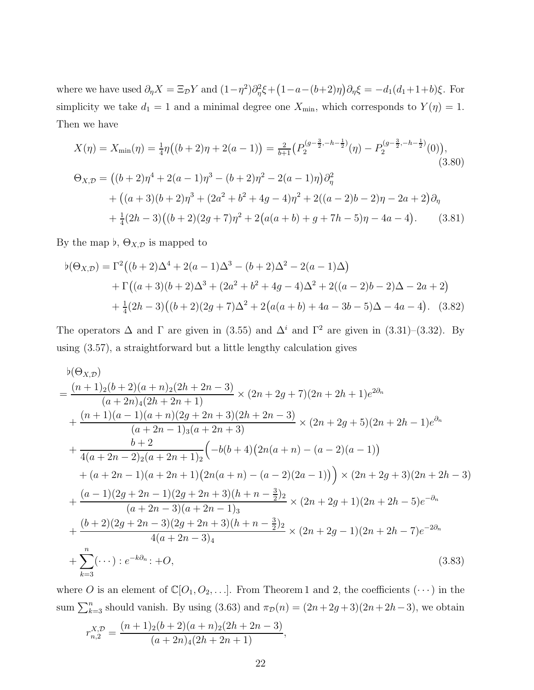where we have used  $\partial_{\eta}X = \Xi_{\mathcal{D}}Y$  and  $(1 - \eta^2)\partial_{\eta}^2 \xi + (1 - a - (b+2)\eta)\partial_{\eta} \xi = -d_1(d_1 + 1 + b)\xi$ . For simplicity we take  $d_1 = 1$  and a minimal degree one  $X_{\min}$ , which corresponds to  $Y(\eta) = 1$ . Then we have

$$
X(\eta) = X_{\min}(\eta) = \frac{1}{4}\eta((b+2)\eta + 2(a-1)) = \frac{2}{b+1}\left(P_2^{\left(g-\frac{3}{2}, -h-\frac{1}{2}\right)}(\eta) - P_2^{\left(g-\frac{3}{2}, -h-\frac{1}{2}\right)}(0)\right),\tag{3.80}
$$
  

$$
\Theta_{X,\mathcal{D}} = \left((b+2)\eta^4 + 2(a-1)\eta^3 - (b+2)\eta^2 - 2(a-1)\eta\right)\partial_\eta^2 + \left((a+3)(b+2)\eta^3 + (2a^2 + b^2 + 4g - 4)\eta^2 + 2((a-2)b - 2)\eta - 2a + 2\right)\partial_\eta + \frac{1}{4}(2h-3)\left((b+2)(2g+7)\eta^2 + 2\left(a(a+b) + g + 7h - 5\right)\eta - 4a - 4\right).
$$
 (3.81)

By the map  $\flat$ ,  $\Theta_{X,\mathcal{D}}$  is mapped to

$$
\begin{aligned} \flat(\Theta_{X,\mathcal{D}}) &= \Gamma^2 \big( (b+2)\Delta^4 + 2(a-1)\Delta^3 - (b+2)\Delta^2 - 2(a-1)\Delta \big) \\ &+ \Gamma \big( (a+3)(b+2)\Delta^3 + (2a^2+b^2+4g-4)\Delta^2 + 2((a-2)b-2)\Delta - 2a+2 \big) \\ &+ \frac{1}{4}(2h-3)\big( (b+2)(2g+7)\Delta^2 + 2\big( a(a+b) + 4a - 3b - 5\big)\Delta - 4a - 4 \big). \end{aligned} \tag{3.82}
$$

The operators  $\Delta$  and  $\Gamma$  are given in (3.55) and  $\Delta^i$  and  $\Gamma^2$  are given in (3.31)–(3.32). By using (3.57), a straightforward but a little lengthy calculation gives

$$
\phi(\Theta_{X,D})
$$
\n
$$
= \frac{(n+1)_{2}(b+2)(a+n)_{2}(2h+2n-3)}{(a+2n)_{4}(2h+2n+1)} \times (2n+2g+7)(2n+2h+1)e^{2\partial n} + \frac{(n+1)(a-1)(a+n)(2g+2n+3)(2h+2n-3)}{(a+2n-1)_{3}(a+2n+3)} \times (2n+2g+5)(2n+2h-1)e^{\partial n} + \frac{b+2}{4(a+2n-2)_{2}(a+2n+1)_{2}} \left(-b(b+4)(2n(a+n)-(a-2)(a-1))\right) + (a+2n-1)(a+2n+1)(2n(a+n)-(a-2)(2a-1)) \times (2n+2g+3)(2n+2h-3) + \frac{(a-1)(2g+2n-1)(2g+2n+3)(h+n-\frac{3}{2})_{2}}{(a+2n-3)(a+2n-1)_{3}} \times (2n+2g+1)(2n+2h-5)e^{-\partial n} + \frac{(b+2)(2g+2n-3)(2g+2n+3)(h+n-\frac{3}{2})_{2}}{4(a+2n-3)_{4}} \times (2n+2g-1)(2n+2h-7)e^{-2\partial n} + \sum_{k=3}^{n}(\cdots):e^{-k\partial n}:+O,
$$
\n(3.83)

where O is an element of  $\mathbb{C}[O_1, O_2, \ldots]$ . From Theorem 1 and 2, the coefficients  $(\cdots)$  in the sum  $\sum_{k=3}^{n}$  should vanish. By using (3.63) and  $\pi_{\mathcal{D}}(n) = (2n+2g+3)(2n+2h-3)$ , we obtain

$$
r_{n,2}^{X,\mathcal{D}} = \frac{(n+1)_2(b+2)(a+n)_2(2h+2n-3)}{(a+2n)_4(2h+2n+1)},
$$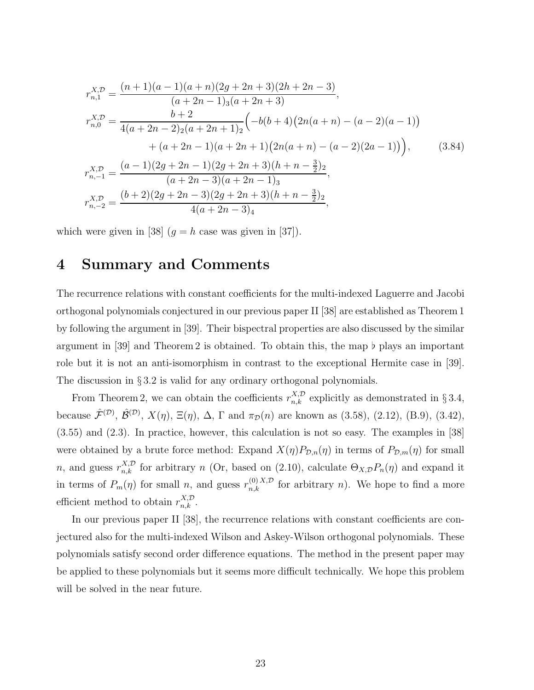$$
r_{n,1}^{X,\mathcal{D}} = \frac{(n+1)(a-1)(a+n)(2g+2n+3)(2h+2n-3)}{(a+2n-1)_{3}(a+2n+3)},
$$
  
\n
$$
r_{n,0}^{X,\mathcal{D}} = \frac{b+2}{4(a+2n-2)_{2}(a+2n+1)_{2}} \Big(-b(b+4)(2n(a+n)-(a-2)(a-1)) + (a+2n-1)(a+2n+1)(2n(a+n)-(a-2)(2a-1))\Big),
$$
  
\n
$$
r_{n,-1}^{X,\mathcal{D}} = \frac{(a-1)(2g+2n-1)(2g+2n+3)(h+n-\frac{3}{2})_{2}}{(a+2n-3)(a+2n-1)_{3}},
$$
  
\n
$$
r_{n,-2}^{X,\mathcal{D}} = \frac{(b+2)(2g+2n-3)(2g+2n+3)(h+n-\frac{3}{2})_{2}}{4(a+2n-3)_{4}},
$$
  
\n(6.4222)

which were given in [38]  $(g = h \text{ case was given in } [37])$ .

## 4 Summary and Comments

The recurrence relations with constant coefficients for the multi-indexed Laguerre and Jacobi orthogonal polynomials conjectured in our previous paper II [38] are established as Theorem 1 by following the argument in [39]. Their bispectral properties are also discussed by the similar argument in [39] and Theorem 2 is obtained. To obtain this, the map  $\flat$  plays an important role but it is not an anti-isomorphism in contrast to the exceptional Hermite case in [39]. The discussion in § 3.2 is valid for any ordinary orthogonal polynomials.

From Theorem 2, we can obtain the coefficients  $r_{n,k}^{X,\mathcal{D}}$  explicitly as demonstrated in § 3.4, because  $\hat{\mathcal{F}}^{(\mathcal{D})}$ ,  $\hat{\mathcal{B}}^{(\mathcal{D})}$ ,  $X(\eta)$ ,  $\Xi(\eta)$ ,  $\Delta$ ,  $\Gamma$  and  $\pi_{\mathcal{D}}(n)$  are known as (3.58), (2.12), (B.9), (3.42), (3.55) and (2.3). In practice, however, this calculation is not so easy. The examples in [38] were obtained by a brute force method: Expand  $X(\eta)P_{\mathcal{D},n}(\eta)$  in terms of  $P_{\mathcal{D},m}(\eta)$  for small n, and guess  $r_{n,k}^{X,D}$  for arbitrary n (Or, based on (2.10), calculate  $\Theta_{X,D}P_n(\eta)$  and expand it in terms of  $P_m(\eta)$  for small n, and guess  $r_{n,k}^{(0),X,D}$  for arbitrary n). We hope to find a more efficient method to obtain  $r_{n,k}^{X,\mathcal{D}}$ .

In our previous paper II [38], the recurrence relations with constant coefficients are conjectured also for the multi-indexed Wilson and Askey-Wilson orthogonal polynomials. These polynomials satisfy second order difference equations. The method in the present paper may be applied to these polynomials but it seems more difficult technically. We hope this problem will be solved in the near future.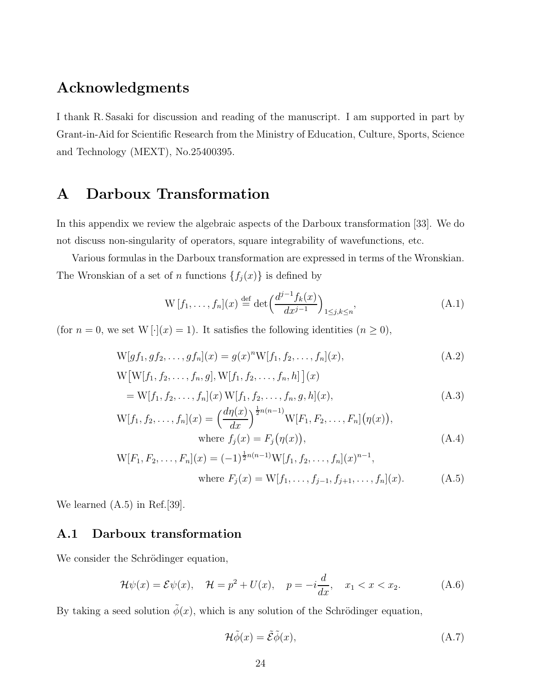## Acknowledgments

I thank R. Sasaki for discussion and reading of the manuscript. I am supported in part by Grant-in-Aid for Scientific Research from the Ministry of Education, Culture, Sports, Science and Technology (MEXT), No.25400395.

## A Darboux Transformation

In this appendix we review the algebraic aspects of the Darboux transformation [33]. We do not discuss non-singularity of operators, square integrability of wavefunctions, etc.

Various formulas in the Darboux transformation are expressed in terms of the Wronskian. The Wronskian of a set of n functions  $\{f_j(x)\}\$ is defined by

$$
W[f_1, ..., f_n](x) \stackrel{\text{def}}{=} \det \left( \frac{d^{j-1} f_k(x)}{dx^{j-1}} \right)_{1 \le j, k \le n}, \tag{A.1}
$$

(for  $n = 0$ , we set W [·](x) = 1). It satisfies the following identities  $(n \ge 0)$ ,

$$
W[g f_1, g f_2, \dots, g f_n](x) = g(x)^n W[f_1, f_2, \dots, f_n](x),
$$
\n(A.2)

$$
W[W[f_1, f_2, \dots, f_n, g], W[f_1, f_2, \dots, f_n, h]](x)
$$
  
= W[f\_1, f\_2, \dots, f\_n](x) W[f\_1, f\_2, \dots, f\_n, g, h](x), (A.3)

$$
W[f_1, f_2, \dots, f_n](x) = \left(\frac{d\eta(x)}{dx}\right)^{\frac{1}{2}n(n-1)} W[F_1, F_2, \dots, F_n](\eta(x)),
$$
  
where  $f_j(x) = F_j(\eta(x)),$  (A.4)

$$
W[F_1, F_2, \dots, F_n](x) = (-1)^{\frac{1}{2}n(n-1)} W[f_1, f_2, \dots, f_n](x)^{n-1},
$$
  
where  $F_j(x) = W[f_1, \dots, f_{j-1}, f_{j+1}, \dots, f_n](x).$  (A.5)

We learned (A.5) in Ref.[39].

### A.1 Darboux transformation

We consider the Schrödinger equation,

$$
\mathcal{H}\psi(x) = \mathcal{E}\psi(x), \quad \mathcal{H} = p^2 + U(x), \quad p = -i\frac{d}{dx}, \quad x_1 < x < x_2. \tag{A.6}
$$

By taking a seed solution  $\tilde{\phi}(x)$ , which is any solution of the Schrödinger equation,

$$
\mathcal{H}\tilde{\phi}(x) = \tilde{\mathcal{E}}\tilde{\phi}(x),\tag{A.7}
$$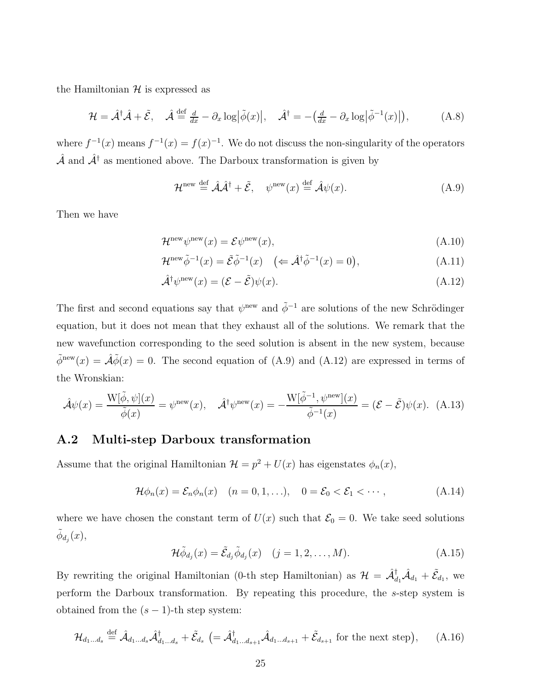the Hamiltonian  $\mathcal H$  is expressed as

$$
\mathcal{H} = \hat{\mathcal{A}}^{\dagger} \hat{\mathcal{A}} + \tilde{\mathcal{E}}, \quad \hat{\mathcal{A}} \stackrel{\text{def}}{=} \frac{d}{dx} - \partial_x \log \left| \tilde{\phi}(x) \right|, \quad \hat{\mathcal{A}}^{\dagger} = -\left( \frac{d}{dx} - \partial_x \log \left| \tilde{\phi}^{-1}(x) \right| \right), \tag{A.8}
$$

where  $f^{-1}(x)$  means  $f^{-1}(x) = f(x)^{-1}$ . We do not discuss the non-singularity of the operators  $\hat{\mathcal{A}}$  and  $\hat{\mathcal{A}}^{\dagger}$  as mentioned above. The Darboux transformation is given by

$$
\mathcal{H}^{\text{new}} \stackrel{\text{def}}{=} \hat{\mathcal{A}} \hat{\mathcal{A}}^{\dagger} + \tilde{\mathcal{E}}, \quad \psi^{\text{new}}(x) \stackrel{\text{def}}{=} \hat{\mathcal{A}} \psi(x). \tag{A.9}
$$

Then we have

$$
\mathcal{H}^{\text{new}}\psi^{\text{new}}(x) = \mathcal{E}\psi^{\text{new}}(x),\tag{A.10}
$$

$$
\mathcal{H}^{\text{new}}\tilde{\phi}^{-1}(x) = \tilde{\mathcal{E}}\tilde{\phi}^{-1}(x) \quad \left( \Leftarrow \hat{\mathcal{A}}^{\dagger}\tilde{\phi}^{-1}(x) = 0 \right), \tag{A.11}
$$

$$
\hat{\mathcal{A}}^{\dagger} \psi^{\text{new}}(x) = (\mathcal{E} - \tilde{\mathcal{E}}) \psi(x). \tag{A.12}
$$

The first and second equations say that  $\psi^{\text{new}}$  and  $\tilde{\phi}^{-1}$  are solutions of the new Schrödinger equation, but it does not mean that they exhaust all of the solutions. We remark that the new wavefunction corresponding to the seed solution is absent in the new system, because  $\tilde{\phi}^{\text{new}}(x) = \hat{\mathcal{A}}\tilde{\phi}(x) = 0$ . The second equation of (A.9) and (A.12) are expressed in terms of the Wronskian:

$$
\hat{\mathcal{A}}\psi(x) = \frac{\mathcal{W}[\tilde{\phi}, \psi](x)}{\tilde{\phi}(x)} = \psi^{\text{new}}(x), \quad \hat{\mathcal{A}}^{\dagger}\psi^{\text{new}}(x) = -\frac{\mathcal{W}[\tilde{\phi}^{-1}, \psi^{\text{new}}](x)}{\tilde{\phi}^{-1}(x)} = (\mathcal{E} - \tilde{\mathcal{E}})\psi(x). \tag{A.13}
$$

### A.2 Multi-step Darboux transformation

Assume that the original Hamiltonian  $\mathcal{H} = p^2 + U(x)$  has eigenstates  $\phi_n(x)$ ,

$$
\mathcal{H}\phi_n(x) = \mathcal{E}_n \phi_n(x) \quad (n = 0, 1, \ldots), \quad 0 = \mathcal{E}_0 < \mathcal{E}_1 < \cdots,\tag{A.14}
$$

where we have chosen the constant term of  $U(x)$  such that  $\mathcal{E}_0 = 0$ . We take seed solutions  $\tilde{\phi}_{d_j}(x)$ ,

$$
\mathcal{H}\tilde{\phi}_{d_j}(x) = \tilde{\mathcal{E}}_{d_j}\tilde{\phi}_{d_j}(x) \quad (j = 1, 2, \dots, M). \tag{A.15}
$$

By rewriting the original Hamiltonian (0-th step Hamiltonian) as  $\mathcal{H} = \hat{\mathcal{A}}_{d_1}^{\dagger} \hat{\mathcal{A}}_{d_1} + \tilde{\mathcal{E}}_{d_1}$ , we perform the Darboux transformation. By repeating this procedure, the s-step system is obtained from the  $(s - 1)$ -th step system:

$$
\mathcal{H}_{d_1\ldots d_s} \stackrel{\text{def}}{=} \hat{\mathcal{A}}_{d_1\ldots d_s} \hat{\mathcal{A}}_{d_1\ldots d_s}^{\dagger} + \tilde{\mathcal{E}}_{d_s} \ (= \hat{\mathcal{A}}_{d_1\ldots d_{s+1}}^{\dagger} \hat{\mathcal{A}}_{d_1\ldots d_{s+1}} + \tilde{\mathcal{E}}_{d_{s+1}} \text{ for the next step}\big), \qquad (A.16)
$$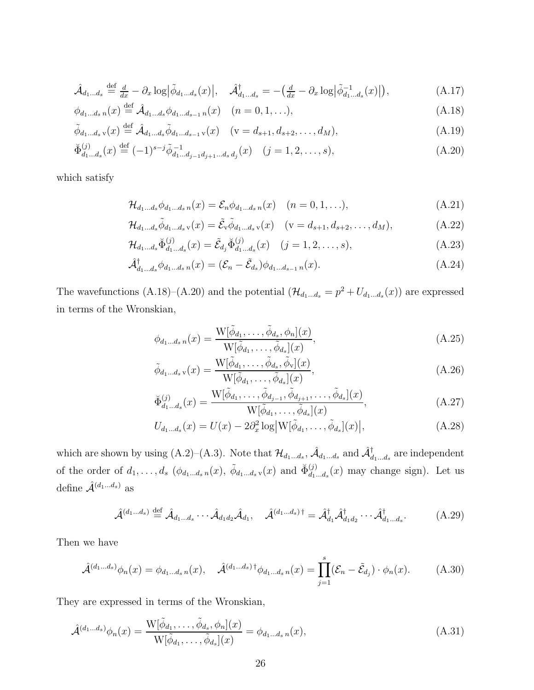$$
\hat{\mathcal{A}}_{d_1...d_s} \stackrel{\text{def}}{=} \frac{d}{dx} - \partial_x \log \left| \tilde{\phi}_{d_1...d_s}(x) \right|, \quad \hat{\mathcal{A}}_{d_1...d_s}^{\dagger} = -\left( \frac{d}{dx} - \partial_x \log \left| \tilde{\phi}_{d_1...d_s}^{-1}(x) \right| \right), \tag{A.17}
$$

$$
\phi_{d_1...d_s n}(x) \stackrel{\text{def}}{=} \hat{\mathcal{A}}_{d_1...d_s} \phi_{d_1...d_{s-1} n}(x) \quad (n = 0, 1, ...),
$$
\n(A.18)

$$
\tilde{\phi}_{d_1...d_s} (x) \stackrel{\text{def}}{=} \hat{\mathcal{A}}_{d_1...d_s} \tilde{\phi}_{d_1...d_{s-1} \, \mathbf{v}}(x) \quad (\mathbf{v} = d_{s+1}, d_{s+2}, \dots, d_M), \tag{A.19}
$$

$$
\breve{\Phi}_{d_1...d_s}^{(j)}(x) \stackrel{\text{def}}{=} (-1)^{s-j} \tilde{\phi}_{d_1...d_{j-1}d_{j+1}...d_s d_j}^{ -1}(x) \quad (j = 1, 2, ..., s), \tag{A.20}
$$

which satisfy

$$
\mathcal{H}_{d_1...d_s} \phi_{d_1...d_s n}(x) = \mathcal{E}_n \phi_{d_1...d_s n}(x) \quad (n = 0, 1, ...),
$$
\n(A.21)

$$
\mathcal{H}_{d_1\ldots d_s}\tilde{\phi}_{d_1\ldots d_s\,v}(x) = \tilde{\mathcal{E}}_v\tilde{\phi}_{d_1\ldots d_s\,v}(x) \quad (v = d_{s+1}, d_{s+2}, \ldots, d_M),\tag{A.22}
$$

$$
\mathcal{H}_{d_1...d_s} \breve{\Phi}_{d_1...d_s}^{(j)}(x) = \tilde{\mathcal{E}}_{d_j} \breve{\Phi}_{d_1...d_s}^{(j)}(x) \quad (j = 1, 2, ..., s),
$$
\n(A.23)

$$
\hat{\mathcal{A}}_{d_1\ldots d_s}^{\dagger} \phi_{d_1\ldots d_s n}(x) = (\mathcal{E}_n - \tilde{\mathcal{E}}_{d_s}) \phi_{d_1\ldots d_{s-1} n}(x). \tag{A.24}
$$

The wavefunctions (A.18)–(A.20) and the potential  $(\mathcal{H}_{d_1...d_s} = p^2 + U_{d_1...d_s}(x))$  are expressed in terms of the Wronskian,

$$
\phi_{d_1...d_s n}(x) = \frac{\mathcal{W}[\tilde{\phi}_{d_1}, \dots, \tilde{\phi}_{d_s}, \phi_n](x)}{\mathcal{W}[\tilde{\phi}_{d_1}, \dots, \tilde{\phi}_{d_s}](x)},
$$
\n(A.25)

$$
\tilde{\phi}_{d_1...d_s}(\mathbf{x}) = \frac{\mathbf{W}[\tilde{\phi}_{d_1}, \dots, \tilde{\phi}_{d_s}, \tilde{\phi}_{\mathbf{v}}](\mathbf{x})}{\mathbf{W}[\tilde{\phi}_{d_1}, \dots, \tilde{\phi}_{d_s}](\mathbf{x})},\tag{A.26}
$$

$$
\breve{\Phi}_{d_1\ldots d_s}^{(j)}(x) = \frac{\mathcal{W}[\tilde{\phi}_{d_1}, \ldots, \tilde{\phi}_{d_{j-1}}, \tilde{\phi}_{d_{j+1}}, \ldots, \tilde{\phi}_{d_s}](x)}{\mathcal{W}[\tilde{\phi}_{d_1}, \ldots, \tilde{\phi}_{d_s}](x)},
$$
\n(A.27)

$$
U_{d_1\ldots d_s}(x) = U(x) - 2\partial_x^2 \log |W[\tilde{\phi}_{d_1}, \ldots, \tilde{\phi}_{d_s}](x)|, \qquad (A.28)
$$

which are shown by using  $(A.2)$ – $(A.3)$ . Note that  $\mathcal{H}_{d_1...d_s}$ ,  $\hat{\mathcal{A}}_{d_1...d_s}$  and  $\hat{\mathcal{A}}_{d_1...d_s}^{\dagger}$  are independent of the order of  $d_1, \ldots, d_s$   $(\phi_{d_1 \ldots d_s n}(x), \ \tilde{\phi}_{d_1 \ldots d_s v}(x))$  and  $\breve{\Phi}_{d_1 \ldots d_s}^{(j)}$  $d_1^{(j)}_{d_1...d_s}(x)$  may change sign). Let us define  $\hat{\mathcal{A}}^{(d_1...d_s)}$  as

$$
\hat{\mathcal{A}}^{(d_1\ldots d_s)} \stackrel{\text{def}}{=} \hat{\mathcal{A}}_{d_1\ldots d_s} \cdots \hat{\mathcal{A}}_{d_1 d_2} \hat{\mathcal{A}}_{d_1}, \quad \hat{\mathcal{A}}^{(d_1\ldots d_s)\dagger} = \hat{\mathcal{A}}_{d_1}^{\dagger} \hat{\mathcal{A}}_{d_1 d_2}^{\dagger} \cdots \hat{\mathcal{A}}_{d_1\ldots d_s}^{\dagger}.
$$
\n(A.29)

Then we have

$$
\hat{\mathcal{A}}^{(d_1...d_s)}\phi_n(x) = \phi_{d_1...d_s\,n}(x), \quad \hat{\mathcal{A}}^{(d_1...d_s)}\dagger\phi_{d_1...d_s\,n}(x) = \prod_{j=1}^s (\mathcal{E}_n - \tilde{\mathcal{E}}_{d_j}) \cdot \phi_n(x). \tag{A.30}
$$

They are expressed in terms of the Wronskian,

$$
\hat{\mathcal{A}}^{(d_1...d_s)}\phi_n(x) = \frac{\mathcal{W}[\tilde{\phi}_{d_1},\ldots,\tilde{\phi}_{d_s},\phi_n](x)}{\mathcal{W}[\tilde{\phi}_{d_1},\ldots,\tilde{\phi}_{d_s}](x)} = \phi_{d_1...d_s\,n}(x),\tag{A.31}
$$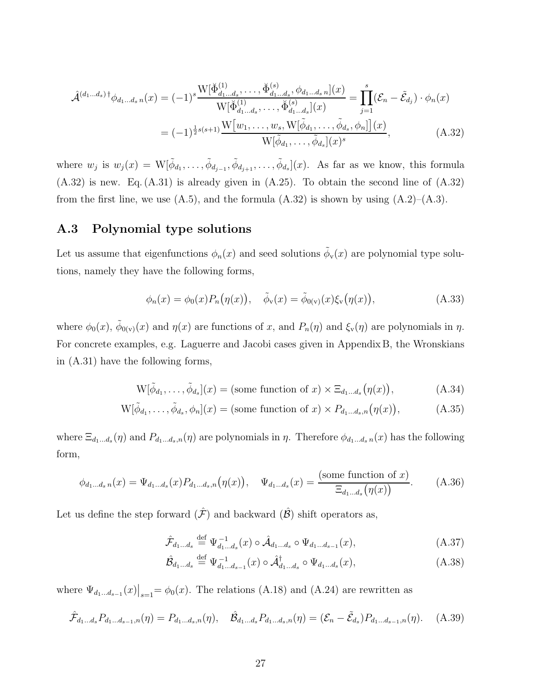$$
\hat{\mathcal{A}}^{(d_1...d_s) \dagger} \phi_{d_1...d_s n}(x) = (-1)^s \frac{\mathcal{W}[\breve{\Phi}^{(1)}_{d_1...d_s}, \dots, \breve{\Phi}^{(s)}_{d_1...d_s}, \phi_{d_1...d_s n}](x)}{\mathcal{W}[\breve{\Phi}^{(1)}_{d_1...d_s}, \dots, \breve{\Phi}^{(s)}_{d_1...d_s}](x)} = \prod_{j=1}^s (\mathcal{E}_n - \tilde{\mathcal{E}}_{d_j}) \cdot \phi_n(x)
$$
\n
$$
= (-1)^{\frac{1}{2}s(s+1)} \frac{\mathcal{W}[w_1, \dots, w_s, \mathcal{W}[\tilde{\phi}_{d_1}, \dots, \tilde{\phi}_{d_s}, \phi_n]](x)}{\mathcal{W}[\tilde{\phi}_{d_1}, \dots, \tilde{\phi}_{d_s}](x)^s}, \tag{A.32}
$$

where  $w_j$  is  $w_j(x) = W[\tilde{\phi}_{d_1}, \ldots, \tilde{\phi}_{d_{j-1}}, \tilde{\phi}_{d_{j+1}}, \ldots, \tilde{\phi}_{d_s}](x)$ . As far as we know, this formula (A.32) is new. Eq. (A.31) is already given in (A.25). To obtain the second line of (A.32) from the first line, we use  $(A.5)$ , and the formula  $(A.32)$  is shown by using  $(A.2)$ – $(A.3)$ .

### A.3 Polynomial type solutions

Let us assume that eigenfunctions  $\phi_n(x)$  and seed solutions  $\tilde{\phi}_v(x)$  are polynomial type solutions, namely they have the following forms,

$$
\phi_n(x) = \phi_0(x) P_n(\eta(x)), \quad \tilde{\phi}_v(x) = \tilde{\phi}_{0(v)}(x) \xi_v(\eta(x)), \tag{A.33}
$$

where  $\phi_0(x)$ ,  $\tilde{\phi}_{0(y)}(x)$  and  $\eta(x)$  are functions of x, and  $P_n(\eta)$  and  $\xi_{\rm v}(\eta)$  are polynomials in  $\eta$ . For concrete examples, e.g. Laguerre and Jacobi cases given in Appendix B, the Wronskians in (A.31) have the following forms,

$$
W[\tilde{\phi}_{d_1}, \dots, \tilde{\phi}_{d_s}](x) = \text{(some function of } x) \times \Xi_{d_1 \dots d_s}(\eta(x)), \tag{A.34}
$$

$$
W[\tilde{\phi}_{d_1}, \dots, \tilde{\phi}_{d_s}, \phi_n](x) = \text{(some function of } x) \times P_{d_1 \dots d_s, n}(\eta(x)),\tag{A.35}
$$

where  $\Xi_{d_1...d_s}(\eta)$  and  $P_{d_1...d_s,n}(\eta)$  are polynomials in  $\eta$ . Therefore  $\phi_{d_1...d_s,n}(x)$  has the following form,

$$
\phi_{d_1\ldots d_s n}(x) = \Psi_{d_1\ldots d_s}(x) P_{d_1\ldots d_s, n}(\eta(x)), \quad \Psi_{d_1\ldots d_s}(x) = \frac{\text{(some function of } x)}{\Xi_{d_1\ldots d_s}(\eta(x))}.\tag{A.36}
$$

Let us define the step forward  $(\hat{\mathcal{F}})$  and backward  $(\hat{\mathcal{B}})$  shift operators as,

$$
\hat{\mathcal{F}}_{d_1...d_s} \stackrel{\text{def}}{=} \Psi_{d_1...d_s}^{-1}(x) \circ \hat{\mathcal{A}}_{d_1...d_s} \circ \Psi_{d_1...d_{s-1}}(x), \tag{A.37}
$$

$$
\hat{\mathcal{B}}_{d_1...d_s} \stackrel{\text{def}}{=} \Psi_{d_1...d_{s-1}}^{-1}(x) \circ \hat{\mathcal{A}}_{d_1...d_s}^{\dagger} \circ \Psi_{d_1...d_s}(x), \tag{A.38}
$$

where  $\Psi_{d_1...d_{s-1}}(x)|_{s=1} = \phi_0(x)$ . The relations (A.18) and (A.24) are rewritten as

$$
\hat{\mathcal{F}}_{d_1...d_s} P_{d_1...d_{s-1},n}(\eta) = P_{d_1...d_s,n}(\eta), \quad \hat{\mathcal{B}}_{d_1...d_s} P_{d_1...d_s,n}(\eta) = (\mathcal{E}_n - \tilde{\mathcal{E}}_{d_s}) P_{d_1...d_{s-1},n}(\eta). \tag{A.39}
$$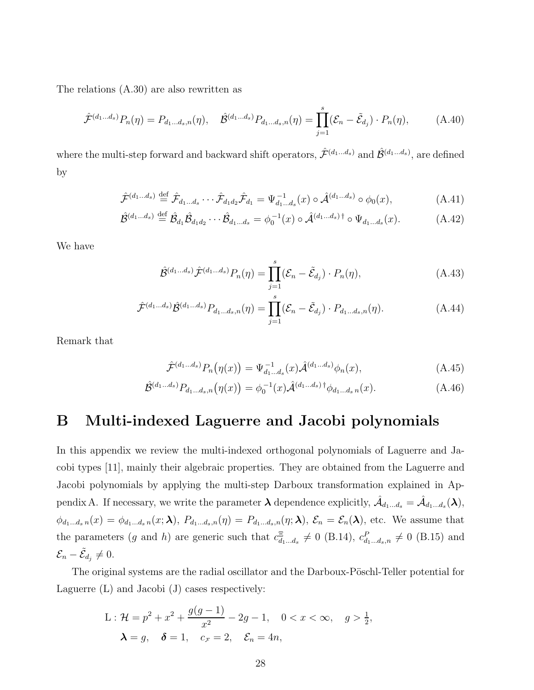The relations (A.30) are also rewritten as

$$
\hat{\mathcal{F}}^{(d_1...d_s)} P_n(\eta) = P_{d_1...d_s,n}(\eta), \quad \hat{\mathcal{B}}^{(d_1...d_s)} P_{d_1...d_s,n}(\eta) = \prod_{j=1}^s (\mathcal{E}_n - \tilde{\mathcal{E}}_{d_j}) \cdot P_n(\eta), \tag{A.40}
$$

where the multi-step forward and backward shift operators,  $\hat{\mathcal{F}}^{(d_1...d_s)}$  and  $\hat{\mathcal{B}}^{(d_1...d_s)}$ , are defined by

$$
\hat{\mathcal{F}}^{(d_1...d_s)} \stackrel{\text{def}}{=} \hat{\mathcal{F}}_{d_1...d_s} \cdots \hat{\mathcal{F}}_{d_1d_2} \hat{\mathcal{F}}_{d_1} = \Psi_{d_1...d_s}^{-1}(x) \circ \hat{\mathcal{A}}^{(d_1...d_s)} \circ \phi_0(x), \tag{A.41}
$$

$$
\hat{\mathcal{B}}^{(d_1\dots d_s)} \stackrel{\text{def}}{=} \hat{\mathcal{B}}_{d_1}\hat{\mathcal{B}}_{d_1d_2}\cdots\hat{\mathcal{B}}_{d_1\dots d_s} = \phi_0^{-1}(x) \circ \hat{\mathcal{A}}^{(d_1\dots d_s)\dagger} \circ \Psi_{d_1\dots d_s}(x). \tag{A.42}
$$

We have

$$
\hat{\mathcal{B}}^{(d_1\dots d_s)}\hat{\mathcal{F}}^{(d_1\dots d_s)}P_n(\eta) = \prod_{j=1}^s (\mathcal{E}_n - \tilde{\mathcal{E}}_{d_j}) \cdot P_n(\eta), \tag{A.43}
$$

$$
\hat{\mathcal{F}}^{(d_1...d_s)}\hat{\mathcal{B}}^{(d_1...d_s)}P_{d_1...d_s,n}(\eta) = \prod_{j=1}^s (\mathcal{E}_n - \tilde{\mathcal{E}}_{d_j}) \cdot P_{d_1...d_s,n}(\eta). \tag{A.44}
$$

Remark that

$$
\hat{\mathcal{F}}^{(d_1...d_s)} P_n(\eta(x)) = \Psi_{d_1...d_s}^{-1}(x) \hat{\mathcal{A}}^{(d_1...d_s)} \phi_n(x), \tag{A.45}
$$

$$
\hat{\mathcal{B}}^{(d_1...d_s)} P_{d_1...d_s,n}(\eta(x)) = \phi_0^{-1}(x) \hat{\mathcal{A}}^{(d_1...d_s)} \dagger \phi_{d_1...d_s,n}(x). \tag{A.46}
$$

## B Multi-indexed Laguerre and Jacobi polynomials

In this appendix we review the multi-indexed orthogonal polynomials of Laguerre and Jacobi types [11], mainly their algebraic properties. They are obtained from the Laguerre and Jacobi polynomials by applying the multi-step Darboux transformation explained in Appendix A. If necessary, we write the parameter  $\lambda$  dependence explicitly,  $\hat{\mathcal{A}}_{d_1...d_s} = \hat{\mathcal{A}}_{d_1...d_s}(\lambda)$ ,  $\phi_{d_1...d_s n}(x) = \phi_{d_1...d_s n}(x; \lambda), P_{d_1...d_s,n}(n) = P_{d_1...d_s,n}(n; \lambda), \mathcal{E}_n = \mathcal{E}_n(\lambda)$ , etc. We assume that the parameters (g and h) are generic such that  $c_{d_1...d_s}^{\Xi} \neq 0$  (B.14),  $c_{d_1...d_s,n}^P \neq 0$  (B.15) and  $\mathcal{E}_n-\tilde{\mathcal{E}}_{d_j}\neq 0.$ 

The original systems are the radial oscillator and the Darboux-Pöschl-Teller potential for Laguerre (L) and Jacobi (J) cases respectively:

L: 
$$
\mathcal{H} = p^2 + x^2 + \frac{g(g-1)}{x^2} - 2g - 1, \quad 0 < x < \infty, \quad g > \frac{1}{2},
$$
  
 $\lambda = g, \quad \delta = 1, \quad c_{\mathcal{F}} = 2, \quad \mathcal{E}_n = 4n,$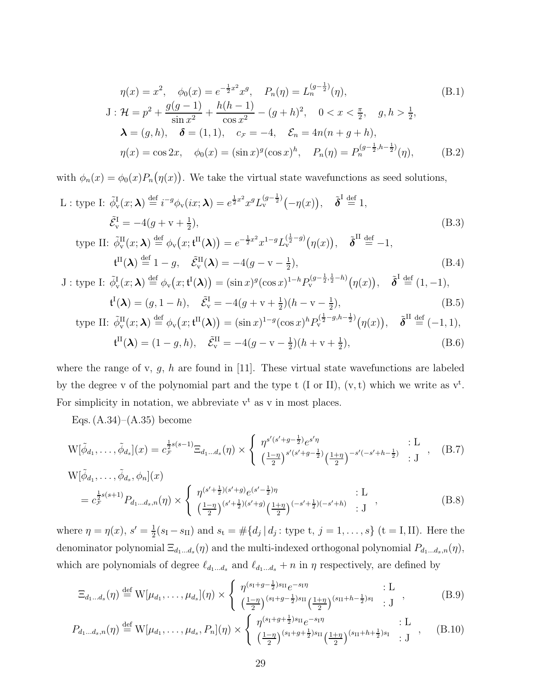$$
\eta(x) = x^2, \quad \phi_0(x) = e^{-\frac{1}{2}x^2} x^g, \quad P_n(\eta) = L_n^{(g-\frac{1}{2})}(\eta),
$$
\n
$$
J: \mathcal{H} = p^2 + \frac{g(g-1)}{\sin x^2} + \frac{h(h-1)}{\cos x^2} - (g+h)^2, \quad 0 < x < \frac{\pi}{2}, \quad g, h > \frac{1}{2},
$$
\n
$$
\lambda = (g, h), \quad \delta = (1, 1), \quad c_{\mathcal{F}} = -4, \quad \mathcal{E}_n = 4n(n+g+h),
$$
\n
$$
\eta(x) = \cos 2x, \quad \phi_0(x) = (\sin x)^g (\cos x)^h, \quad P_n(\eta) = P_n^{(g-\frac{1}{2}, h-\frac{1}{2})}(\eta),
$$
\n(B.2)

with  $\phi_n(x) = \phi_0(x) P_n(\eta(x))$ . We take the virtual state wavefunctions as seed solutions,

L : type I: 
$$
\tilde{\phi}_{\mathbf{v}}^{\mathbf{I}}(x; \boldsymbol{\lambda}) \stackrel{\text{def}}{=} i^{-g} \phi_{\mathbf{v}}(ix; \boldsymbol{\lambda}) = e^{\frac{1}{2}x^2} x^g L_{\mathbf{v}}^{(g-\frac{1}{2})}(-\eta(x)), \quad \tilde{\boldsymbol{\delta}}^{\mathbf{I}} \stackrel{\text{def}}{=} 1,
$$
  
\n $\tilde{\mathcal{E}}_{\mathbf{v}}^{\mathbf{I}} = -4(g + v + \frac{1}{2}),$   
\ntype II:  $\tilde{\phi}_{\mathbf{v}}^{\mathbf{II}}(x; \boldsymbol{\lambda}) \stackrel{\text{def}}{=} \phi_{\mathbf{v}}(x; \mathbf{t}^{\mathbf{II}}(\boldsymbol{\lambda})) = e^{-\frac{1}{2}x^2} x^{1-g} L_{\mathbf{v}}^{(\frac{1}{2}-g)}(\eta(x)), \quad \tilde{\boldsymbol{\delta}}^{\mathbf{II}} \stackrel{\text{def}}{=} -1,$  (B.3)

$$
\text{PPE II: } \tilde{\phi}_{\mathbf{v}}^{\mathbf{H}}(x;\boldsymbol{\lambda}) \stackrel{\text{def}}{=} \phi_{\mathbf{v}}(x;\mathbf{t}^{\mathbf{H}}(\boldsymbol{\lambda})) = e^{-\frac{1}{2}x^{2}} x^{1-g} L_{\mathbf{v}}^{(\frac{1}{2}-g)}(\eta(x)), \quad \tilde{\boldsymbol{\delta}}^{\mathbf{H}} \stackrel{\text{def}}{=} -1,
$$
\n
$$
\mathbf{t}^{\mathbf{H}}(\boldsymbol{\lambda}) \stackrel{\text{def}}{=} 1 - g, \quad \tilde{\mathcal{E}}_{\mathbf{v}}^{\mathbf{H}}(\boldsymbol{\lambda}) = -4(g - \mathbf{v} - \frac{1}{2}), \tag{B.4}
$$

$$
\mathbf{J}: \text{type I: } \tilde{\phi}_{\mathbf{v}}^{\mathbf{I}}(x;\boldsymbol{\lambda}) \stackrel{\text{def}}{=} \phi_{\mathbf{v}}(x;\mathbf{t}^{\mathbf{I}}(\boldsymbol{\lambda})) = (\sin x)^{g}(\cos x)^{1-h} P_{\mathbf{v}}^{(g-\frac{1}{2},\frac{1}{2}-h)}(\eta(x)), \quad \tilde{\boldsymbol{\delta}}^{\mathbf{I}} \stackrel{\text{def}}{=} (1,-1),
$$

$$
\mathbf{t}^{\mathbf{I}}(\boldsymbol{\lambda}) = (g, 1 - h), \quad \tilde{\mathcal{E}}_{\mathbf{v}}^{\mathbf{I}} = -4(g + v + \frac{1}{2})(h - v - \frac{1}{2}),
$$
\n(B.5)

type II: 
$$
\tilde{\phi}_{\mathbf{v}}^{\mathbf{H}}(x;\boldsymbol{\lambda}) \stackrel{\text{def}}{=} \phi_{\mathbf{v}}(x;\mathbf{t}^{\mathbf{H}}(\boldsymbol{\lambda})) = (\sin x)^{1-g}(\cos x)^{h} P_{\mathbf{v}}^{(\frac{1}{2}-g,h-\frac{1}{2})}(\eta(x)), \quad \tilde{\boldsymbol{\delta}}^{\mathbf{H}} \stackrel{\text{def}}{=} (-1,1),
$$
  

$$
\mathbf{t}^{\mathbf{H}}(\boldsymbol{\lambda}) = (1-g,h), \quad \tilde{\mathcal{E}}_{\mathbf{v}}^{\mathbf{H}} = -4(g-\mathbf{v}-\frac{1}{2})(h+\mathbf{v}+\frac{1}{2}),
$$
(B.6)

where the range of v,  $g$ ,  $h$  are found in [11]. These virtual state wavefunctions are labeled by the degree v of the polynomial part and the type t (I or II),  $(v, t)$  which we write as  $v^t$ . For simplicity in notation, we abbreviate  $v^t$  as v in most places.

Eqs.  $(A.34)–(A.35)$  become

$$
W[\tilde{\phi}_{d_1}, \dots, \tilde{\phi}_{d_s}](x) = c_{\mathcal{F}}^{\frac{1}{2}s(s-1)} \Xi_{d_1 \dots d_s}(\eta) \times \begin{cases} \eta^{s'(s'+g-\frac{1}{2})} e^{s'\eta} & \text{: L} \\ \left(\frac{1-\eta}{2}\right)^{s'(s'+g-\frac{1}{2})} \left(\frac{1+\eta}{2}\right)^{-s'(-s'+h-\frac{1}{2})} & \text{: J} \end{cases}, \quad (B.7)
$$

$$
W[\tilde{\phi}_{d_1}, \dots, \tilde{\phi}_{d_s}, \phi_n](x)
$$
  
=  $c_{\mathcal{F}}^{\frac{1}{2}s(s+1)} P_{d_1 \dots d_s, n}(\eta) \times \begin{cases} \eta^{(s'+\frac{1}{2})(s'+g)} e^{(s'-\frac{1}{2})\eta} & \text{: } L \\ \left(\frac{1-\eta}{2}\right)^{(s'+\frac{1}{2})(s'+g)} \left(\frac{1+\eta}{2}\right)^{(-s'+\frac{1}{2})(-s'+h)} & \text{: } J \end{cases}$  (B.8)

where  $\eta = \eta(x), s' = \frac{1}{2}$  $\frac{1}{2}(s_{\rm I}-s_{\rm II})$  and  $s_{\rm t} = \#\{d_j \,|\, d_j :$  type t,  $j = 1, \ldots, s\}$  (t = I, II). Here the denominator polynomial  $\Xi_{d_1...d_s}(\eta)$  and the multi-indexed orthogonal polynomial  $P_{d_1...d_s,n}(\eta)$ , which are polynomials of degree  $\ell_{d_1...d_s}$  and  $\ell_{d_1...d_s}$  + n in  $\eta$  respectively, are defined by

$$
\Xi_{d_1...d_s}(\eta) \stackrel{\text{def}}{=} W[\mu_{d_1}, \dots, \mu_{d_s}](\eta) \times \begin{cases} \eta^{(s_1+g-\frac{1}{2})s_{\text{II}}} e^{-s_1 \eta} & : \text{L} \\ \left(\frac{1-\eta}{2}\right)^{(s_1+g-\frac{1}{2})s_{\text{II}}} \left(\frac{1+\eta}{2}\right)^{(s_{\text{II}}+h-\frac{1}{2})s_{\text{I}}} & : \text{J} \end{cases} (B.9)
$$

$$
P_{d_1...d_s,n}(\eta) \stackrel{\text{def}}{=} W[\mu_{d_1},\ldots,\mu_{d_s},P_n](\eta) \times \left\{ \begin{array}{l} \eta^{(s_1+g+\frac{1}{2})s_{\text{II}}}e^{-s_1\eta} & : \text{L} \\ \left(\frac{1-\eta}{2}\right)^{(s_1+g+\frac{1}{2})s_{\text{II}}} \left(\frac{1+\eta}{2}\right)^{(s_{\text{II}}+h+\frac{1}{2})s_{\text{I}}} & : \text{J} \end{array} \right., \quad (B.10)
$$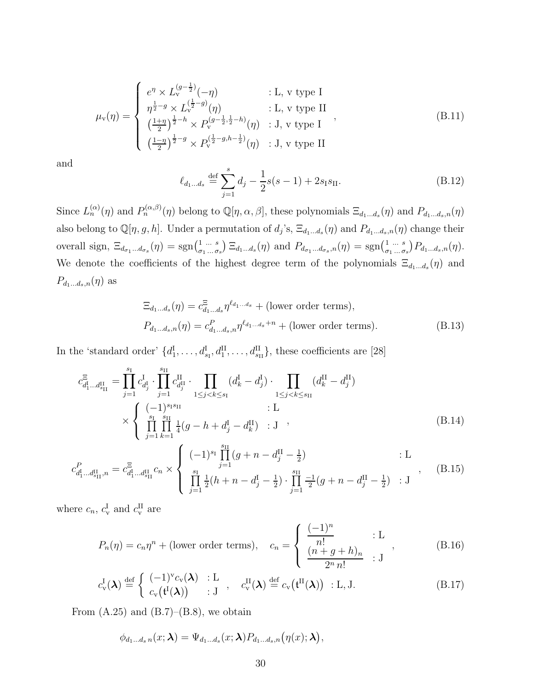$$
\mu_{\mathbf{v}}(\eta) = \begin{cases}\ne^{\eta} \times L_{\mathbf{v}}^{(g-\frac{1}{2})}(-\eta) & : \mathbf{L}, \mathbf{v} \text{ type I} \\
\eta^{\frac{1}{2}-g} \times L_{\mathbf{v}}^{(\frac{1}{2}-g)}(\eta) & : \mathbf{L}, \mathbf{v} \text{ type II} \\
(\frac{1+\eta}{2})^{\frac{1}{2}-h} \times P_{\mathbf{v}}^{(g-\frac{1}{2},\frac{1}{2}-h)}(\eta) & : \mathbf{J}, \mathbf{v} \text{ type I} \\
(\frac{1-\eta}{2})^{\frac{1}{2}-g} \times P_{\mathbf{v}}^{(\frac{1}{2}-g,h-\frac{1}{2})}(\eta) & : \mathbf{J}, \mathbf{v} \text{ type II}\n\end{cases}
$$
\n(B.11)

and

$$
\ell_{d_1...d_s} \stackrel{\text{def}}{=} \sum_{j=1}^{s} d_j - \frac{1}{2}s(s-1) + 2s_1s_{\text{II}}.\tag{B.12}
$$

Since  $L_n^{(\alpha)}(\eta)$  and  $P_n^{(\alpha,\beta)}(\eta)$  belong to  $\mathbb{Q}[\eta,\alpha,\beta]$ , these polynomials  $\Xi_{d_1...d_s}(\eta)$  and  $P_{d_1...d_s,n}(\eta)$ also belong to  $\mathbb{Q}[\eta,g,h]$ . Under a permutation of  $d_j$ 's,  $\Xi_{d_1...d_s}(\eta)$  and  $P_{d_1...d_s,n}(\eta)$  change their overall sign,  $\Xi_{d_{\sigma_1} \dots d_{\sigma_s}}(\eta) = \text{sgn} \left( \begin{smallmatrix} 1 & \dots & s \\ \vdots & \vdots & \vdots \\ \vdots & \vdots & \vdots \\ \vdots & \vdots & \vdots \end{smallmatrix} \right)$  $\left(\begin{matrix}1 & \dots & s\\ \sigma_1 & \dots & \sigma_s\end{matrix}\right) \Xi_{d_1 \dots d_s}(\eta)$  and  $P_{d_{\sigma_1} \dots d_{\sigma_s},n}(\eta) = \text{sgn}\left(\begin{matrix}1 & \dots & s\\ \sigma_1 & \dots & \sigma_s\end{matrix}\right)$  $\binom{1}{\sigma_1 \dots \sigma_s} P_{d_1 \dots d_s,n}(\eta).$ We denote the coefficients of the highest degree term of the polynomials  $\Xi_{d_1...d_s}(\eta)$  and  $P_{d_1...d_s,n}(\eta)$  as

$$
\begin{aligned} \Xi_{d_1\ldots d_s}(\eta) &= c_{d_1\ldots d_s}^{\Xi} \eta^{\ell_{d_1\ldots d_s}} + (\text{lower order terms}), \\ P_{d_1\ldots d_s,n}(\eta) &= c_{d_1\ldots d_s,n}^P \eta^{\ell_{d_1\ldots d_s}+n} + (\text{lower order terms}). \end{aligned} \tag{B.13}
$$

In the 'standard order'  $\{d_1^{\text{I}}, \ldots, d_{s_1}^{\text{I}}, d_1^{\text{II}}, \ldots, d_{s_{II}}^{\text{II}}\}$ , these coefficients are [28]

$$
c_{d_1^{\text{I}}...d_{s_{\text{II}}}^{\text{II}}}^{\text{II}} = \prod_{j=1}^{s_{\text{I}}} c_{d_j^{\text{I}}}^{\text{I}} \cdot \prod_{j=1}^{s_{\text{II}}} c_{d_j^{\text{II}}}^{\text{II}} \cdot \prod_{1 \le j < k \le s_{\text{I}}} (d_k^{\text{I}} - d_j^{\text{I}}) \cdot \prod_{1 \le j < k \le s_{\text{II}}} (d_k^{\text{II}} - d_j^{\text{II}})
$$
\n
$$
\times \left\{ \prod_{j=1}^{s_{\text{I}}} \prod_{k=1}^{s_{\text{II}}} \frac{1}{4} (g - h + d_j^{\text{I}} - d_k^{\text{II}}) \right\} : \text{J} , \tag{B.14}
$$

$$
c_{d_1^{\text{I}}\dots d_{s_{\text{II}}}^{\text{II}},n}^P = c_{d_1^{\text{I}}\dots d_{s_{\text{II}}}^{\text{II}}}^{\Xi}c_n \times \begin{cases} (-1)^{s_{\text{I}}}\prod_{j=1}^{s_{\text{II}}}(g+n-d_j^{\text{II}}-\frac{1}{2}) & : \text{L} \\ \prod_{j=1}^{s_{\text{I}}}\frac{1}{2}(h+n-d_j^{\text{I}}-\frac{1}{2}) \cdot \prod_{j=1}^{s_{\text{II}}}\frac{-1}{2}(g+n-d_j^{\text{II}}-\frac{1}{2}) & : \text{J} \end{cases}, \quad (B.15)
$$

where  $c_n$ ,  $c_{\rm v}^{\rm I}$  and  $c_{\rm v}^{\rm II}$  are

$$
P_n(\eta) = c_n \eta^n + \text{(lower order terms)}, \quad c_n = \begin{cases} \frac{(-1)^n}{n!} & \text{: L} \\ \frac{(n+g+h)_n}{2^n n!} & \text{: J} \end{cases}, \tag{B.16}
$$

$$
c_{\mathbf{v}}^{\mathbf{I}}(\boldsymbol{\lambda}) \stackrel{\text{def}}{=} \begin{cases} (-1)^{\mathbf{v}} c_{\mathbf{v}}(\boldsymbol{\lambda}) & \text{: } \mathbf{L} \\ c_{\mathbf{v}}(\mathbf{t}^{\mathbf{I}}(\boldsymbol{\lambda})) & \text{: } \mathbf{J} \end{cases}, \quad c_{\mathbf{v}}^{\mathbf{II}}(\boldsymbol{\lambda}) \stackrel{\text{def}}{=} c_{\mathbf{v}}(\mathbf{t}^{\mathbf{II}}(\boldsymbol{\lambda})) \quad \text{: } \mathbf{L}, \mathbf{J}. \tag{B.17}
$$

From  $(A.25)$  and  $(B.7)$ – $(B.8)$ , we obtain

$$
\phi_{d_1...d_s n}(x;\boldsymbol{\lambda}) = \Psi_{d_1...d_s}(x;\boldsymbol{\lambda}) P_{d_1...d_s,n}(\eta(x);\boldsymbol{\lambda}),
$$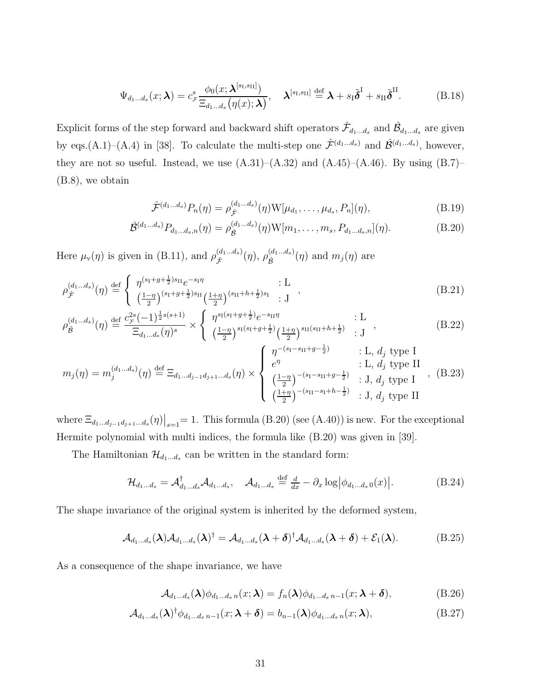$$
\Psi_{d_1...d_s}(x;\boldsymbol{\lambda})=c^s_{\mathcal{F}}\frac{\phi_0(x;\boldsymbol{\lambda}^{[s_1,s_{II}]})}{\Xi_{d_1...d_s}(\eta(x);\boldsymbol{\lambda})},\quad \boldsymbol{\lambda}^{[s_1,s_{II}]}\stackrel{\text{def}}{=}\boldsymbol{\lambda}+s_I\tilde{\boldsymbol{\delta}}^{\mathrm{I}}+s_{II}\tilde{\boldsymbol{\delta}}^{\mathrm{II}}.\tag{B.18}
$$

Explicit forms of the step forward and backward shift operators  $\hat{\mathcal{F}}_{d_1...d_s}$  and  $\hat{\mathcal{B}}_{d_1...d_s}$  are given by eqs.(A.1)–(A.4) in [38]. To calculate the multi-step one  $\hat{\mathcal{F}}^{(d_1...d_s)}$  and  $\hat{\mathcal{B}}^{(d_1...d_s)}$ , however, they are not so useful. Instead, we use  $(A.31)$ – $(A.32)$  and  $(A.45)$ – $(A.46)$ . By using  $(B.7)$ – (B.8), we obtain

$$
\hat{\mathcal{F}}^{(d_1...d_s)} P_n(\eta) = \rho_{\hat{\mathcal{F}}}^{(d_1...d_s)}(\eta) W[\mu_{d_1}, \dots, \mu_{d_s}, P_n](\eta),
$$
\n(B.19)

$$
\hat{\mathcal{B}}^{(d_1...d_s)} P_{d_1...d_s,n}(\eta) = \rho_{\hat{\mathcal{B}}}^{(d_1...d_s)}(\eta) W[m_1, \dots, m_s, P_{d_1...d_s,n}](\eta). \tag{B.20}
$$

Here  $\mu_{\rm v}(\eta)$  is given in (B.11), and  $\rho_{\hat{\tau}}^{(d_1...d_s)}$  $\stackrel{(d_1...d_s)}{\hat{\mathcal{F}}}(\eta),\, \rho_{\hat{\mathcal{B}}}^{(d_1...d_s)}$  $\hat{\mathcal{B}}^{(a_1...a_s)}(\eta)$  and  $m_j(\eta)$  are

$$
\rho_{\hat{\mathcal{F}}}^{(d_1...d_s)}(\eta) \stackrel{\text{def}}{=} \begin{cases} \eta^{(s_1+g+\frac{1}{2})s_{\text{II}}}e^{-s_1\eta} & : \mathcal{L} \\ \left(\frac{1-\eta}{2}\right)^{(s_1+g+\frac{1}{2})s_{\text{II}}} \left(\frac{1+\eta}{2}\right)^{(s_{\text{II}}+h+\frac{1}{2})s_{\text{I}}} & : \mathcal{J} \end{cases} , \tag{B.21}
$$

$$
\rho_{\hat{\mathcal{B}}}^{(d_1...d_s)}(\eta) \stackrel{\text{def}}{=} \frac{c_{\mathcal{F}}^{2s}(-1)^{\frac{1}{2}s(s+1)}}{\Xi_{d_1...d_s}(\eta)^s} \times \begin{cases} \eta^{s_1(s_1+g+\frac{1}{2})}e^{-s_{\Pi}\eta} & \text{: L} \\ \left(\frac{1-\eta}{2}\right)^{s_1(s_1+g+\frac{1}{2})} \left(\frac{1+\eta}{2}\right)^{s_{\Pi}(s_{\Pi}+h+\frac{1}{2})} & \text{: J} \end{cases} ,\tag{B.22}
$$

$$
m_j(\eta) = m_j^{(d_1...d_s)}(\eta) \stackrel{\text{def}}{=} \Xi_{d_1...d_{j-1}d_{j+1}...d_s}(\eta) \times \begin{cases} \eta^{-(s_1-s_{\text{II}}+g-\frac{1}{2})} & \text{: L, } d_j \text{ type I} \\ e^{\eta} & \text{: L, } d_j \text{ type II} \\ \frac{1-\eta}{2} \end{cases}, (B.23)
$$
\n
$$
\frac{1-\eta}{2} \cdot J, d_j \text{ type I} \quad (B.24)
$$

where  $\Xi_{d_1...d_{j-1}d_{j+1}...d_s}(\eta)\big|_{s=1} = 1$ . This formula (B.20) (see (A.40)) is new. For the exceptional Hermite polynomial with multi indices, the formula like (B.20) was given in [39].

The Hamiltonian  $\mathcal{H}_{d_1...d_s}$  can be written in the standard form:

$$
\mathcal{H}_{d_1\ldots d_s} = \mathcal{A}_{d_1\ldots d_s}^{\dagger} \mathcal{A}_{d_1\ldots d_s}, \quad \mathcal{A}_{d_1\ldots d_s} \stackrel{\text{def}}{=} \frac{d}{dx} - \partial_x \log \left| \phi_{d_1\ldots d_s} \, o(x) \right|.
$$
 (B.24)

The shape invariance of the original system is inherited by the deformed system,

$$
\mathcal{A}_{d_1...d_s}(\boldsymbol{\lambda})\mathcal{A}_{d_1...d_s}(\boldsymbol{\lambda})^{\dagger} = \mathcal{A}_{d_1...d_s}(\boldsymbol{\lambda} + \boldsymbol{\delta})^{\dagger}\mathcal{A}_{d_1...d_s}(\boldsymbol{\lambda} + \boldsymbol{\delta}) + \mathcal{E}_1(\boldsymbol{\lambda}). \tag{B.25}
$$

As a consequence of the shape invariance, we have

$$
\mathcal{A}_{d_1...d_s}(\boldsymbol{\lambda})\phi_{d_1...d_s n}(x;\boldsymbol{\lambda}) = f_n(\boldsymbol{\lambda})\phi_{d_1...d_s n-1}(x;\boldsymbol{\lambda}+\boldsymbol{\delta}),
$$
(B.26)

$$
\mathcal{A}_{d_1\ldots d_s}(\boldsymbol{\lambda})^{\dagger} \phi_{d_1\ldots d_s}{}_{n-1}(x; \boldsymbol{\lambda} + \boldsymbol{\delta}) = b_{n-1}(\boldsymbol{\lambda}) \phi_{d_1\ldots d_s}{}_{n}(x; \boldsymbol{\lambda}),
$$
\n(B.27)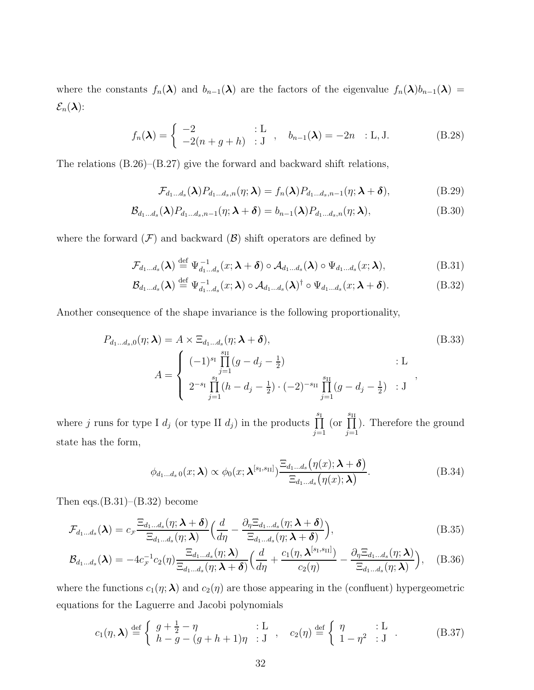where the constants  $f_n(\lambda)$  and  $b_{n-1}(\lambda)$  are the factors of the eigenvalue  $f_n(\lambda)b_{n-1}(\lambda)$  =  $\mathcal{E}_n(\boldsymbol{\lambda})$ :

$$
f_n(\boldsymbol{\lambda}) = \begin{cases} -2 & \text{: } L \\ -2(n+g+h) & \text{: } J \end{cases}, \quad b_{n-1}(\boldsymbol{\lambda}) = -2n \quad \text{: } L, J. \tag{B.28}
$$

The relations (B.26)–(B.27) give the forward and backward shift relations,

$$
\mathcal{F}_{d_1...d_s}(\boldsymbol{\lambda})P_{d_1...d_s,n}(\eta;\boldsymbol{\lambda})=f_n(\boldsymbol{\lambda})P_{d_1...d_s,n-1}(\eta;\boldsymbol{\lambda}+\boldsymbol{\delta}),
$$
\n(B.29)

$$
\mathcal{B}_{d_1\ldots d_s}(\boldsymbol{\lambda})P_{d_1\ldots d_s,n-1}(\eta;\boldsymbol{\lambda}+\boldsymbol{\delta})=b_{n-1}(\boldsymbol{\lambda})P_{d_1\ldots d_s,n}(\eta;\boldsymbol{\lambda}),
$$
\n(B.30)

where the forward  $(F)$  and backward  $(B)$  shift operators are defined by

$$
\mathcal{F}_{d_1...d_s}(\boldsymbol{\lambda}) \stackrel{\text{def}}{=} \Psi_{d_1...d_s}^{-1}(x; \boldsymbol{\lambda} + \boldsymbol{\delta}) \circ \mathcal{A}_{d_1...d_s}(\boldsymbol{\lambda}) \circ \Psi_{d_1...d_s}(x; \boldsymbol{\lambda}),
$$
(B.31)

$$
\mathcal{B}_{d_1...d_s}(\boldsymbol{\lambda}) \stackrel{\text{def}}{=} \Psi_{d_1...d_s}^{-1}(x;\boldsymbol{\lambda}) \circ \mathcal{A}_{d_1...d_s}(\boldsymbol{\lambda})^{\dagger} \circ \Psi_{d_1...d_s}(x;\boldsymbol{\lambda}+\boldsymbol{\delta}). \tag{B.32}
$$

Another consequence of the shape invariance is the following proportionality,

$$
P_{d_1...d_s,0}(\eta; \lambda) = A \times \Xi_{d_1...d_s}(\eta; \lambda + \delta),
$$
\n
$$
A = \begin{cases} (-1)^{s_1} \prod_{j=1}^{s_{II}} (g - d_j - \frac{1}{2}) & \text{: } L \\ 2^{-s_1} \prod_{j=1}^{s_1} (h - d_j - \frac{1}{2}) \cdot (-2)^{-s_{II}} \prod_{j=1}^{s_{II}} (g - d_j - \frac{1}{2}) & \text{: } J \end{cases},
$$
\n(B.33)

where j runs for type I  $d_j$  (or type II  $d_j$ ) in the products  $\prod_{j=1}^{s}$  $j=1$ (or  $\prod_{s_{II}}$  $j=1$ ). Therefore the ground state has the form,

$$
\phi_{d_1...d_s,0}(x;\boldsymbol{\lambda}) \propto \phi_0(x;\boldsymbol{\lambda}^{[s_1,s_{II}]}) \frac{\Xi_{d_1...d_s}(\eta(x);\boldsymbol{\lambda}+\boldsymbol{\delta})}{\Xi_{d_1...d_s}(\eta(x);\boldsymbol{\lambda})}.
$$
 (B.34)

Then eqs. $(B.31)$ – $(B.32)$  become

$$
\mathcal{F}_{d_1...d_s}(\boldsymbol{\lambda}) = c_{\mathcal{F}} \frac{\Xi_{d_1...d_s}(\eta; \boldsymbol{\lambda} + \boldsymbol{\delta})}{\Xi_{d_1...d_s}(\eta; \boldsymbol{\lambda})} \Big(\frac{d}{d\eta} - \frac{\partial_{\eta} \Xi_{d_1...d_s}(\eta; \boldsymbol{\lambda} + \boldsymbol{\delta})}{\Xi_{d_1...d_s}(\eta; \boldsymbol{\lambda} + \boldsymbol{\delta})}\Big),
$$
(B.35)

$$
\mathcal{B}_{d_1\ldots d_s}(\boldsymbol{\lambda}) = -4c_{\mathcal{F}}^{-1}c_2(\eta)\frac{\Xi_{d_1\ldots d_s}(\eta;\boldsymbol{\lambda})}{\Xi_{d_1\ldots d_s}(\eta;\boldsymbol{\lambda}+\boldsymbol{\delta})}\Big(\frac{d}{d\eta}+\frac{c_1(\eta,\boldsymbol{\lambda}^{[s_1,s_{II}]})}{c_2(\eta)}-\frac{\partial_{\eta}\Xi_{d_1\ldots d_s}(\eta;\boldsymbol{\lambda})}{\Xi_{d_1\ldots d_s}(\eta;\boldsymbol{\lambda})}\Big),\quad (B.36)
$$

where the functions  $c_1(\eta; \lambda)$  and  $c_2(\eta)$  are those appearing in the (confluent) hypergeometric equations for the Laguerre and Jacobi polynomials

$$
c_1(\eta, \lambda) \stackrel{\text{def}}{=} \begin{cases} g + \frac{1}{2} - \eta & \text{: } L \\ h - g - (g + h + 1)\eta & \text{: } J \end{cases}, \quad c_2(\eta) \stackrel{\text{def}}{=} \begin{cases} \eta & \text{: } L \\ 1 - \eta^2 & \text{: } J \end{cases} . \tag{B.37}
$$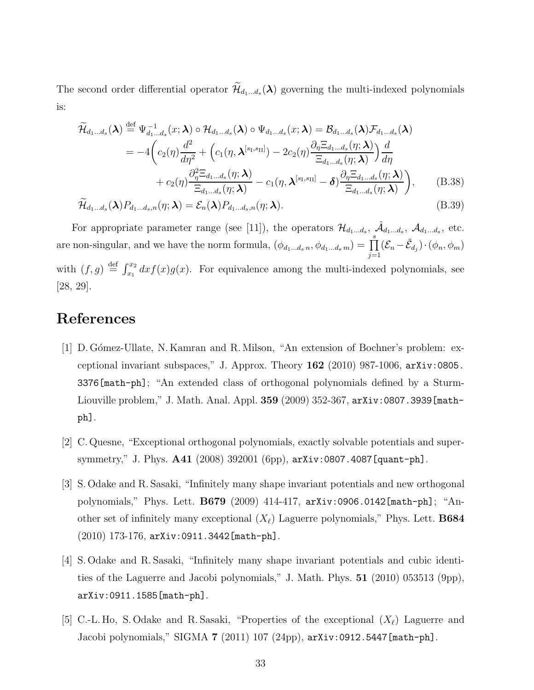The second order differential operator  $\widetilde{\mathcal{H}}_{d_1...d_s}(\lambda)$  governing the multi-indexed polynomials is:

$$
\widetilde{\mathcal{H}}_{d_1...d_s}(\boldsymbol{\lambda}) \stackrel{\text{def}}{=} \Psi_{d_1...d_s}^{-1}(x;\boldsymbol{\lambda}) \circ \mathcal{H}_{d_1...d_s}(\boldsymbol{\lambda}) \circ \Psi_{d_1...d_s}(x;\boldsymbol{\lambda}) = \mathcal{B}_{d_1...d_s}(\boldsymbol{\lambda}) \mathcal{F}_{d_1...d_s}(\boldsymbol{\lambda})
$$
\n
$$
= -4 \bigg( c_2(\eta) \frac{d^2}{d\eta^2} + \Big( c_1(\eta, \boldsymbol{\lambda}^{[s_1, s_{II}]}) - 2c_2(\eta) \frac{\partial_{\eta} \Xi_{d_1...d_s}(\eta; \boldsymbol{\lambda})}{\Xi_{d_1...d_s}(\eta; \boldsymbol{\lambda})} \Big) \frac{d}{d\eta}
$$
\n
$$
+ c_2(\eta) \frac{\partial_{\eta}^2 \Xi_{d_1...d_s}(\eta; \boldsymbol{\lambda})}{\Xi_{d_1...d_s}(\eta; \boldsymbol{\lambda})} - c_1(\eta, \boldsymbol{\lambda}^{[s_1, s_{II}]} - \boldsymbol{\delta}) \frac{\partial_{\eta} \Xi_{d_1...d_s}(\eta; \boldsymbol{\lambda})}{\Xi_{d_1...d_s}(\eta; \boldsymbol{\lambda})} \bigg), \qquad (B.38)
$$

$$
\widetilde{\mathcal{H}}_{d_1...d_s}(\boldsymbol{\lambda})P_{d_1...d_s,n}(\eta;\boldsymbol{\lambda})=\mathcal{E}_n(\boldsymbol{\lambda})P_{d_1...d_s,n}(\eta;\boldsymbol{\lambda}).
$$
\n(B.39)

For appropriate parameter range (see [11]), the operators  $\mathcal{H}_{d_1...d_s}$ ,  $\hat{\mathcal{A}}_{d_1...d_s}$ ,  $\mathcal{A}_{d_1...d_s}$ , etc. are non-singular, and we have the norm formula,  $(\phi_{d_1...d_s n}, \phi_{d_1...d_s m}) = \prod_s^s$  $j=1$  $(\mathcal{E}_n-\tilde{\mathcal{E}}_{d_j})\cdot(\phi_n,\phi_m)$ with  $(f, g) \stackrel{\text{def}}{=} \int_{x_1}^{x_2} dx f(x)g(x)$ . For equivalence among the multi-indexed polynomials, see [28, 29].

## References

- [1] D. G´omez-Ullate, N. Kamran and R. Milson, "An extension of Bochner's problem: exceptional invariant subspaces," J. Approx. Theory 162 (2010) 987-1006, arXiv:0805. 3376[math-ph]; "An extended class of orthogonal polynomials defined by a Sturm-Liouville problem," J. Math. Anal. Appl. 359 (2009) 352-367, arXiv:0807.3939[mathph].
- [2] C. Quesne, "Exceptional orthogonal polynomials, exactly solvable potentials and supersymmetry," J. Phys. A41 (2008) 392001 (6pp), arXiv:0807.4087[quant-ph].
- [3] S. Odake and R. Sasaki, "Infinitely many shape invariant potentials and new orthogonal polynomials," Phys. Lett. B679 (2009) 414-417, arXiv:0906.0142[math-ph]; "Another set of infinitely many exceptional  $(X_{\ell})$  Laguerre polynomials," Phys. Lett. **B684** (2010) 173-176, arXiv:0911.3442[math-ph].
- [4] S. Odake and R. Sasaki, "Infinitely many shape invariant potentials and cubic identities of the Laguerre and Jacobi polynomials," J. Math. Phys. 51 (2010) 053513 (9pp), arXiv:0911.1585[math-ph].
- [5] C.-L. Ho, S. Odake and R. Sasaki, "Properties of the exceptional  $(X_{\ell})$  Laguerre and Jacobi polynomials," SIGMA 7 (2011) 107 (24pp), arXiv:0912.5447[math-ph].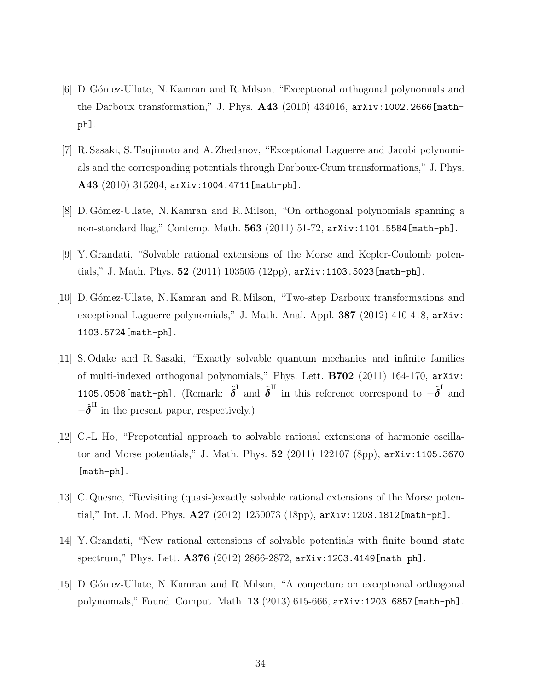- [6] D. G´omez-Ullate, N. Kamran and R. Milson, "Exceptional orthogonal polynomials and the Darboux transformation," J. Phys. A43 (2010) 434016, arXiv:1002.2666[mathph].
- [7] R. Sasaki, S. Tsujimoto and A. Zhedanov, "Exceptional Laguerre and Jacobi polynomials and the corresponding potentials through Darboux-Crum transformations," J. Phys. A43 (2010) 315204, arXiv:1004.4711[math-ph].
- [8] D. G´omez-Ullate, N. Kamran and R. Milson, "On orthogonal polynomials spanning a non-standard flag," Contemp. Math. 563 (2011) 51-72, arXiv:1101.5584[math-ph].
- [9] Y. Grandati, "Solvable rational extensions of the Morse and Kepler-Coulomb potentials," J. Math. Phys.  $52$  (2011) 103505 (12pp),  $arXiv:1103.5023$  [math-ph].
- [10] D. Gómez-Ullate, N. Kamran and R. Milson, "Two-step Darboux transformations and exceptional Laguerre polynomials," J. Math. Anal. Appl. 387 (2012) 410-418, arXiv: 1103.5724[math-ph].
- [11] S. Odake and R. Sasaki, "Exactly solvable quantum mechanics and infinite families of multi-indexed orthogonal polynomials," Phys. Lett. B702 (2011) 164-170, arXiv: 1105.0508[math-ph]. (Remark:  $\tilde{\boldsymbol{\delta}}^{\text{I}}$  and  $\tilde{\boldsymbol{\delta}}^{\text{II}}$  in this reference correspond to  $-\tilde{\boldsymbol{\delta}}^{\text{I}}$  and  $-\tilde{\boldsymbol{\delta}}^{\text{II}}$  in the present paper, respectively.)
- [12] C.-L. Ho, "Prepotential approach to solvable rational extensions of harmonic oscillator and Morse potentials," J. Math. Phys. 52 (2011) 122107 (8pp), arXiv:1105.3670 [math-ph].
- [13] C. Quesne, "Revisiting (quasi-)exactly solvable rational extensions of the Morse potential," Int. J. Mod. Phys. A27 (2012) 1250073 (18pp), arXiv:1203.1812[math-ph].
- [14] Y. Grandati, "New rational extensions of solvable potentials with finite bound state spectrum," Phys. Lett. A376 (2012) 2866-2872, arXiv:1203.4149[math-ph].
- [15] D. Gómez-Ullate, N. Kamran and R. Milson, "A conjecture on exceptional orthogonal polynomials," Found. Comput. Math. 13 (2013) 615-666, arXiv:1203.6857[math-ph].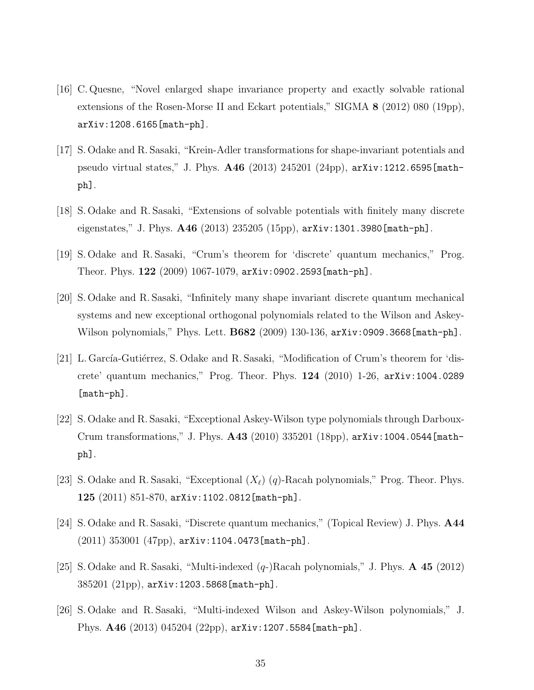- [16] C. Quesne, "Novel enlarged shape invariance property and exactly solvable rational extensions of the Rosen-Morse II and Eckart potentials," SIGMA 8 (2012) 080 (19pp), arXiv:1208.6165[math-ph].
- [17] S. Odake and R. Sasaki, "Krein-Adler transformations for shape-invariant potentials and pseudo virtual states," J. Phys. A46 (2013) 245201 (24pp), arXiv:1212.6595[mathph].
- [18] S. Odake and R. Sasaki, "Extensions of solvable potentials with finitely many discrete eigenstates," J. Phys. A46 (2013) 235205 (15pp), arXiv:1301.3980[math-ph].
- [19] S. Odake and R. Sasaki, "Crum's theorem for 'discrete' quantum mechanics," Prog. Theor. Phys. 122 (2009) 1067-1079, arXiv:0902.2593[math-ph].
- [20] S. Odake and R. Sasaki, "Infinitely many shape invariant discrete quantum mechanical systems and new exceptional orthogonal polynomials related to the Wilson and Askey-Wilson polynomials," Phys. Lett. **B682** (2009) 130-136, arXiv:0909.3668[math-ph].
- [21] L. García-Gutiérrez, S. Odake and R. Sasaki, "Modification of Crum's theorem for 'discrete' quantum mechanics," Prog. Theor. Phys. 124 (2010) 1-26, arXiv:1004.0289 [math-ph].
- [22] S. Odake and R. Sasaki, "Exceptional Askey-Wilson type polynomials through Darboux-Crum transformations," J. Phys. A43 (2010) 335201 (18pp), arXiv:1004.0544[mathph].
- [23] S. Odake and R. Sasaki, "Exceptional  $(X_{\ell})$  (q)-Racah polynomials," Prog. Theor. Phys.  $125$   $(2011)$   $851-870$ ,  $arXiv:1102.0812$ [math-ph].
- [24] S. Odake and R. Sasaki, "Discrete quantum mechanics," (Topical Review) J. Phys. A44 (2011) 353001 (47pp), arXiv:1104.0473[math-ph].
- [25] S. Odake and R. Sasaki, "Multi-indexed  $(q)$ -Racah polynomials," J. Phys.  $\bf{A}$  45 (2012) 385201 (21pp), arXiv:1203.5868[math-ph].
- [26] S. Odake and R. Sasaki, "Multi-indexed Wilson and Askey-Wilson polynomials," J. Phys. A46 (2013) 045204 (22pp), arXiv:1207.5584[math-ph].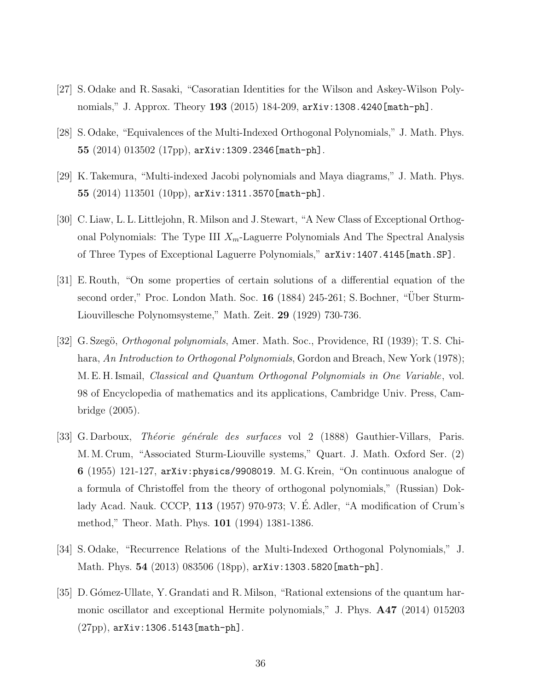- [27] S. Odake and R. Sasaki, "Casoratian Identities for the Wilson and Askey-Wilson Polynomials," J. Approx. Theory **193** (2015) 184-209,  $arXiv:1308.4240$  [math-ph].
- [28] S. Odake, "Equivalences of the Multi-Indexed Orthogonal Polynomials," J. Math. Phys. 55  $(2014)$   $013502$   $(17pp)$ ,  $arXiv:1309.2346$  [math-ph].
- [29] K. Takemura, "Multi-indexed Jacobi polynomials and Maya diagrams," J. Math. Phys. 55 (2014) 113501 (10pp), arXiv:1311.3570[math-ph].
- [30] C. Liaw, L. L. Littlejohn, R. Milson and J. Stewart, "A New Class of Exceptional Orthogonal Polynomials: The Type III  $X_m$ -Laguerre Polynomials And The Spectral Analysis of Three Types of Exceptional Laguerre Polynomials," arXiv:1407.4145[math.SP].
- [31] E. Routh, "On some properties of certain solutions of a differential equation of the second order," Proc. London Math. Soc. 16 (1884) 245-261; S. Bochner, "Über Sturm-Liouvillesche Polynomsysteme," Math. Zeit. 29 (1929) 730-736.
- [32] G. Szegö, *Orthogonal polynomials*, Amer. Math. Soc., Providence, RI (1939); T. S. Chihara, An Introduction to Orthogonal Polynomials, Gordon and Breach, New York (1978); M. E. H. Ismail, Classical and Quantum Orthogonal Polynomials in One Variable, vol. 98 of Encyclopedia of mathematics and its applications, Cambridge Univ. Press, Cambridge (2005).
- [33] G. Darboux, *Théorie générale des surfaces* vol 2 (1888) Gauthier-Villars, Paris. M. M. Crum, "Associated Sturm-Liouville systems," Quart. J. Math. Oxford Ser. (2) 6 (1955) 121-127, arXiv:physics/9908019. M. G. Krein, "On continuous analogue of a formula of Christoffel from the theory of orthogonal polynomials," (Russian) Doklady Acad. Nauk. CCCP, 113 (1957) 970-973; V. É. Adler, "A modification of Crum's method," Theor. Math. Phys. 101 (1994) 1381-1386.
- [34] S. Odake, "Recurrence Relations of the Multi-Indexed Orthogonal Polynomials," J. Math. Phys. 54 (2013) 083506 (18pp), arXiv:1303.5820[math-ph].
- [35] D. G´omez-Ullate, Y. Grandati and R. Milson, "Rational extensions of the quantum harmonic oscillator and exceptional Hermite polynomials," J. Phys. A47 (2014) 015203 (27pp), arXiv:1306.5143[math-ph].